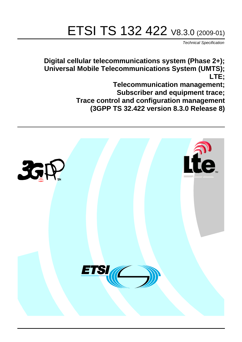# ETSI TS 132 422 V8.3.0 (2009-01)

*Technical Specification*

**Digital cellular telecommunications system (Phase 2+); Universal Mobile Telecommunications System (UMTS); LTE;**

> **Telecommunication management; Subscriber and equipment trace; Trace control and configuration management (3GPP TS 32.422 version 8.3.0 Release 8)**

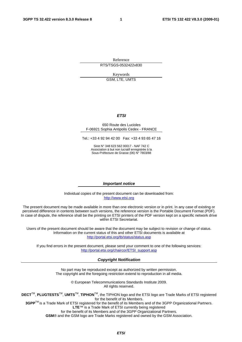Reference RTS/TSGS-0532422v830

Keywords

GSM, LTE, UMTS

#### *ETSI*

#### 650 Route des Lucioles F-06921 Sophia Antipolis Cedex - FRANCE

Tel.: +33 4 92 94 42 00 Fax: +33 4 93 65 47 16

Siret N° 348 623 562 00017 - NAF 742 C Association à but non lucratif enregistrée à la Sous-Préfecture de Grasse (06) N° 7803/88

#### *Important notice*

Individual copies of the present document can be downloaded from: [http://www.etsi.org](http://www.etsi.org/)

The present document may be made available in more than one electronic version or in print. In any case of existing or perceived difference in contents between such versions, the reference version is the Portable Document Format (PDF). In case of dispute, the reference shall be the printing on ETSI printers of the PDF version kept on a specific network drive within ETSI Secretariat.

Users of the present document should be aware that the document may be subject to revision or change of status. Information on the current status of this and other ETSI documents is available at <http://portal.etsi.org/tb/status/status.asp>

If you find errors in the present document, please send your comment to one of the following services: [http://portal.etsi.org/chaircor/ETSI\\_support.asp](http://portal.etsi.org/chaircor/ETSI_support.asp)

#### *Copyright Notification*

No part may be reproduced except as authorized by written permission. The copyright and the foregoing restriction extend to reproduction in all media.

> © European Telecommunications Standards Institute 2009. All rights reserved.

**DECT**TM, **PLUGTESTS**TM, **UMTS**TM, **TIPHON**TM, the TIPHON logo and the ETSI logo are Trade Marks of ETSI registered for the benefit of its Members.

**3GPP**TM is a Trade Mark of ETSI registered for the benefit of its Members and of the 3GPP Organizational Partners. **LTE**™ is a Trade Mark of ETSI currently being registered

for the benefit of its Members and of the 3GPP Organizational Partners.

**GSM**® and the GSM logo are Trade Marks registered and owned by the GSM Association.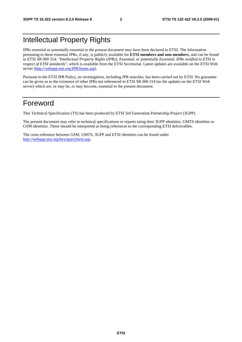# Intellectual Property Rights

IPRs essential or potentially essential to the present document may have been declared to ETSI. The information pertaining to these essential IPRs, if any, is publicly available for **ETSI members and non-members**, and can be found in ETSI SR 000 314: *"Intellectual Property Rights (IPRs); Essential, or potentially Essential, IPRs notified to ETSI in respect of ETSI standards"*, which is available from the ETSI Secretariat. Latest updates are available on the ETSI Web server ([http://webapp.etsi.org/IPR/home.asp\)](http://webapp.etsi.org/IPR/home.asp).

Pursuant to the ETSI IPR Policy, no investigation, including IPR searches, has been carried out by ETSI. No guarantee can be given as to the existence of other IPRs not referenced in ETSI SR 000 314 (or the updates on the ETSI Web server) which are, or may be, or may become, essential to the present document.

# Foreword

This Technical Specification (TS) has been produced by ETSI 3rd Generation Partnership Project (3GPP).

The present document may refer to technical specifications or reports using their 3GPP identities, UMTS identities or GSM identities. These should be interpreted as being references to the corresponding ETSI deliverables.

The cross reference between GSM, UMTS, 3GPP and ETSI identities can be found under [http://webapp.etsi.org/key/queryform.asp.](http://webapp.etsi.org/key/queryform.asp)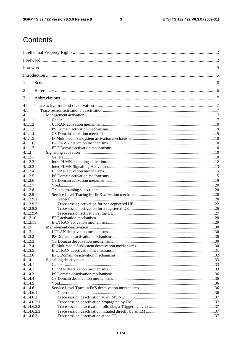#### $\mathbf{3}$

# Contents

| 1                    |  |  |  |
|----------------------|--|--|--|
| $\overline{2}$       |  |  |  |
| 3                    |  |  |  |
| $\overline{4}$       |  |  |  |
| 4.1                  |  |  |  |
| 4.1.1                |  |  |  |
| 4.1.1.1              |  |  |  |
| 4.1.1.2              |  |  |  |
| 4.1.1.3              |  |  |  |
| 4.1.1.4              |  |  |  |
| 4.1.1.5              |  |  |  |
| 4.1.1.6              |  |  |  |
| 4.1.1.7              |  |  |  |
| 4.1.2                |  |  |  |
| 4.1.2.1              |  |  |  |
| 4.1.2.2              |  |  |  |
| 4.1.2.3              |  |  |  |
| 4.1.2.4              |  |  |  |
| 4.1.2.5              |  |  |  |
| 4.1.2.6              |  |  |  |
| 4.1.2.7              |  |  |  |
| 4.1.2.8              |  |  |  |
| 4.1.2.9<br>4.1.2.9.1 |  |  |  |
| 4.1.2.9.2            |  |  |  |
| 4.1.2.9.3            |  |  |  |
| 4.1.2.9.4            |  |  |  |
| 4.1.2.10             |  |  |  |
| 4.1.2.11             |  |  |  |
| 4.1.3                |  |  |  |
| 4.1.3.1              |  |  |  |
| 4.1.3.2              |  |  |  |
| 4.1.3.3              |  |  |  |
| 4.1.3.4              |  |  |  |
| 4.1.3.5              |  |  |  |
| 4.1.3.6              |  |  |  |
| 4.1.4                |  |  |  |
| 4.1.4.1              |  |  |  |
| 4.1.4.2              |  |  |  |
| 4.1.4.3              |  |  |  |
| 4.1.4.4              |  |  |  |
| 4.1.4.5              |  |  |  |
| 4.1.4.6              |  |  |  |
| 4.1.4.6.1            |  |  |  |
| 4.1.4.6.2            |  |  |  |
| 4.1.4.6.2.1          |  |  |  |
| 4.1.4.6.2.2          |  |  |  |
| 4.1.4.6.2.3          |  |  |  |
| 4.1.4.6.3            |  |  |  |
|                      |  |  |  |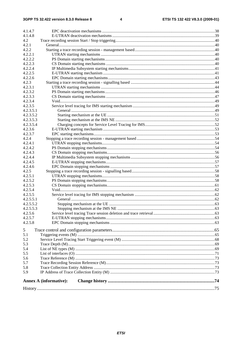#### $\overline{\mathbf{4}}$

|            | <b>Annex A (informative):</b> |  |
|------------|-------------------------------|--|
|            |                               |  |
| 5.9        |                               |  |
| 5.8        |                               |  |
| 5.6<br>5.7 |                               |  |
|            |                               |  |
| 5.5        |                               |  |
| 5.4        |                               |  |
| 5.2<br>5.3 |                               |  |
| 5.1        |                               |  |
|            |                               |  |
| 5          |                               |  |
| 4.2.5.8    |                               |  |
| 4.2.5.7    |                               |  |
| 4.2.5.6    |                               |  |
| 4.2.5.5.3  |                               |  |
| 4.2.5.5.2  |                               |  |
| 4.2.5.5.1  |                               |  |
| 4.2.5.5    |                               |  |
| 4.2.5.4    |                               |  |
| 4.2.5.3    |                               |  |
| 4.2.5.2    |                               |  |
| 4.2.5.1    |                               |  |
| 4.2.5      |                               |  |
| 4.2.4.6    |                               |  |
| 4.2.4.5    |                               |  |
| 4.2.4.4    |                               |  |
| 4.2.4.3    |                               |  |
| 4.2.4.2    |                               |  |
| 4.2.4.1    |                               |  |
| 4.2.4      |                               |  |
| 4.2.3.7    |                               |  |
| 4.2.3.6    |                               |  |
| 4.2.3.5.4  |                               |  |
| 4.2.3.5.3  |                               |  |
| 4.2.3.5.2  |                               |  |
| 4.2.3.5.1  |                               |  |
| 4.2.3.5    |                               |  |
| 4.2.3.4    |                               |  |
| 4.2.3.3    |                               |  |
| 4.2.3.2    |                               |  |
| 4.2.3.1    |                               |  |
| 4.2.3      |                               |  |
| 4.2.2.6    |                               |  |
| 4.2.2.5    |                               |  |
| 4.2.2.4    |                               |  |
| 4.2.2.3    |                               |  |
| 4.2.2.2    |                               |  |
| 4.2.2.1    |                               |  |
| 4.2.2      |                               |  |
| 4.2.1      |                               |  |
| 4.2        |                               |  |
| 4.1.4.8    |                               |  |
| 4.1.4.7    |                               |  |
|            |                               |  |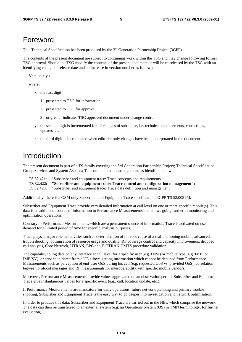# Foreword

This Technical Specification has been produced by the 3<sup>rd</sup> Generation Partnership Project (3GPP).

The contents of the present document are subject to continuing work within the TSG and may change following formal TSG approval. Should the TSG modify the contents of the present document, it will be re-released by the TSG with an identifying change of release date and an increase in version number as follows:

Version x.y.z

where:

- x the first digit:
	- 1 presented to TSG for information;
	- 2 presented to TSG for approval;
	- 3 or greater indicates TSG approved document under change control.
- y the second digit is incremented for all changes of substance, i.e. technical enhancements, corrections, updates, etc.
- z the third digit is incremented when editorial only changes have been incorporated in the document.

# Introduction

The present document is part of a TS-family covering the 3rd Generation Partnership Project; Technical Specification Group Services and System Aspects; Telecommunication management, as identified below:

- TS 32.421: "Subscriber and equipment trace: Trace concepts and requirements";
- **TS 32.422: "Subscriber and equipment trace: Trace control and configuration management";**
- TS 32.423: "Subscriber and equipment trace: Trace data definition and management";

Additionally, there is a GSM only Subscriber and Equipment Trace specification: 3GPP TS 52.008 [5].

Subscriber and Equipment Trace provide very detailed information at call level on one or more specific mobile(s). This data is an additional source of information to Performance Measurements and allows going further in monitoring and optimisation operations.

Contrary to Performance Measurements, which are a permanent source of information, Trace is activated on user demand for a limited period of time for specific analysis purposes.

Trace plays a major role in activities such as determination of the root cause of a malfunctioning mobile, advanced troubleshooting, optimisation of resource usage and quality, RF coverage control and capacity improvement, dropped call analysis, Core Network, UTRAN, EPC and E-UTRAN UMTS procedure validation.

The capability to log data on any interface at call level for a specific user (e.g. IMSI) or mobile type (e.g. IMEI or IMEISV), or service initiated from a UE allows getting information which cannot be deduced from Performance Measurements such as perception of end-user QoS during his call (e.g. requested QoS vs. provided QoS), correlation between protocol messages and RF measurements, or interoperability with specific mobile vendors.

Moreover, Performance Measurements provide values aggregated on an observation period, Subscriber and Equipment Trace give instantaneous values for a specific event (e.g., call, location update, etc.).

If Performance Measurements are mandatory for daily operations, future network planning and primary trouble shooting, Subscriber and Equipment Trace is the easy way to go deeper into investigation and network optimisation.

In order to produce this data, Subscriber and Equipment Trace are carried out in the NEs, which comprise the network. The data can then be transferred to an external system (e.g. an Operations System (OS) in TMN terminology, for further evaluation).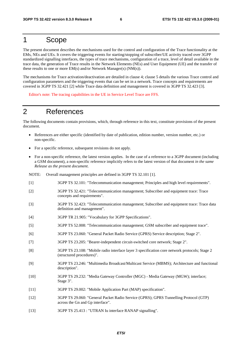# 1 Scope

The present document describes the mechanisms used for the control and configuration of the Trace functionality at the EMs, NEs and UEs. It covers the triggering events for starting/stopping of subscriber/UE activity traced over 3GPP standardized signalling interfaces, the types of trace mechanisms, configuration of a trace, level of detail available in the trace data, the generation of Trace results in the Network Elements (NEs) and User Equipment (UE) and the transfer of these results to one or more EM(s) and/or Network Manager(s) (NM(s)).

The mechanisms for Trace activation/deactivation are detailed in clause 4; clause 5 details the various Trace control and configuration parameters and the triggering events that can be set in a network. Trace concepts and requirements are covered in 3GPP TS 32.421 [2] while Trace data definition and management is covered in 3GPP TS 32.423 [3].

Editor's note: The tracing capabilities in the UE in Service Level Trace are FFS.

# 2 References

The following documents contain provisions, which, through reference in this text, constitute provisions of the present document.

- References are either specific (identified by date of publication, edition number, version number, etc.) or non-specific.
- For a specific reference, subsequent revisions do not apply.
- For a non-specific reference, the latest version applies. In the case of a reference to a 3GPP document (including a GSM document), a non-specific reference implicitly refers to the latest version of that document *in the same Release as the present document*.

| NOTE:  | Overall management principles are defined in 3GPP TS 32.101 [1].                                                           |
|--------|----------------------------------------------------------------------------------------------------------------------------|
| $[1]$  | 3GPP TS 32.101: "Telecommunication management; Principles and high level requirements".                                    |
| $[2]$  | 3GPP TS 32.421: "Telecommunication management; Subscriber and equipment trace: Trace<br>concepts and requirements".        |
| $[3]$  | 3GPP TS 32.423: "Telecommunication management; Subscriber and equipment trace: Trace data<br>definition and management".   |
| $[4]$  | 3GPP TR 21.905: "Vocabulary for 3GPP Specifications".                                                                      |
| $[5]$  | 3GPP TS 52.008: "Telecommunication management; GSM subscriber and equipment trace".                                        |
| [6]    | 3GPP TS 23.060: "General Packet Radio Service (GPRS) Service description; Stage 2".                                        |
| $[7]$  | 3GPP TS 23.205: "Bearer-independent circuit-switched core network; Stage 2".                                               |
| [8]    | 3GPP TS 23.108: "Mobile radio interface layer 3 specification core network protocols; Stage 2<br>(structured procedures)". |
| [9]    | 3GPP TS 23.246: "Multimedia Broadcast/Multicast Service (MBMS); Architecture and functional<br>description".               |
| $[10]$ | 3GPP TS 29.232: "Media Gateway Controller (MGC) - Media Gateway (MGW); interface;<br>Stage 3".                             |
| $[11]$ | 3GPP TS 29.002: "Mobile Application Part (MAP) specification".                                                             |
| $[12]$ | 3GPP TS 29.060: "General Packet Radio Service (GPRS); GPRS Tunnelling Protocol (GTP)<br>across the Gn and Gp interface".   |
| $[13]$ | 3GPP TS 25.413 : "UTRAN Iu interface RANAP signalling".                                                                    |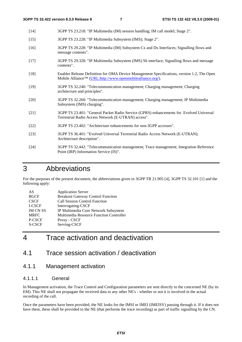- [14] 3GPP TS 23.218: "IP Multimedia (IM) session handling; IM call model; Stage 2".
- [15] 3GPP TS 23.228: "IP Multimedia Subsystem (IMS); Stage 2".
- [16] 3GPP TS 29.228: "IP Multimedia (IM) Subsystem Cx and Dx Interfaces; Signalling flows and message contents".
- [17] 3GPP TS 29.328: "IP Multimedia Subsystem (IMS) Sh interface; Signalling flows and message contents".
- [18] Enabler Release Definition for OMA Device Management Specifications, version 1.2, The Open Mobile Alliance™ [\(URL:http://www.openmobilealliance.org/](http://www.openmobilealliance.org/)).
- [19] 3GPP TS 32.240: "Telecommunication management; Charging management; Charging architecture and principles".
- [20] 3GPP TS 32.260: "Telecommunication management; Charging management; IP Multimedia Subsystem (IMS) charging".
- [21] 3GPP TS 23.401: "General Packet Radio Service (GPRS) enhancements for Evolved Universal Terrestrial Radio Access Network (E-UTRAN) access".
- [22] 3GPP TS 23.402: "Architecture enhancements for non-3GPP accesses".
- [23] 3GPP TS 36.401: "Evolved Universal Terrestrial Radio Access Network (E-UTRAN); Architecture description".
- [24] 3GPP TS 32.442: "Telecommunication management; Trace management; Integration Reference Point (IRP) Information Service (IS)".

# 3 Abbreviations

For the purposes of the present document, the abbreviations given in 3GPP TR 21.905 [4], 3GPP TS 32.101 [1] and the following apply:

| AS            | <b>Application Server</b>                |
|---------------|------------------------------------------|
| <b>BGCF</b>   | <b>Breakout Gateway Control Function</b> |
| <b>CSCF</b>   | <b>Call Session Control Function</b>     |
| I-CSCF        | Interrogating-CSCF                       |
| <b>IMCNSS</b> | IP Multimedia Core Network Subsystem     |
| <b>MRFC</b>   | Multimedia Resource Function Controller  |
| P-CSCF        | Proxy - CSCF                             |
| S-CSCF        | Serving-CSCF                             |

# 4 Trace activation and deactivation

# 4.1 Trace session activation / deactivation

# 4.1.1 Management activation

#### 4.1.1.1 General

In Management activation, the Trace Control and Configuration parameters are sent directly to the concerned NE (by its EM). This NE shall not propagate the received data to any other NE's - whether or not it is involved in the actual recording of the call.

Once the parameters have been provided, the NE looks for the IMSI or IMEI (IMEISV) passing through it. If it does not have them, these shall be provided to the NE (that performs the trace recording) as part of traffic signalling by the CN.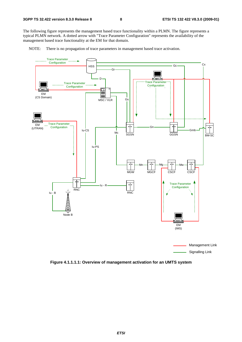The following figure represents the management based trace functionality within a PLMN. The figure represents a typical PLMN network. A dotted arrow with "Trace Parameter Configuration" represents the availability of the management based trace functionality at the EM for that domain.

NOTE: There is no propagation of trace parameters in management based trace activation.



**Figure 4.1.1.1.1: Overview of management activation for an UMTS system**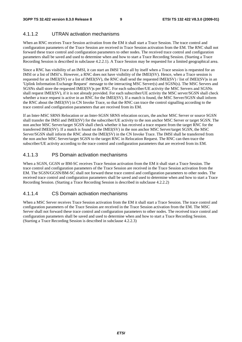### 4.1.1.2 UTRAN activation mechanisms

When an RNC receives Trace Session activation from the EM it shall start a Trace Session. The trace control and configuration parameters of the Trace Session are received in Trace Session activation from the EM. The RNC shall not forward these trace control and configuration parameters to other nodes. The received trace control and configuration parameters shall be saved and used to determine when and how to start a Trace Recording Session. (Starting a Trace Recording Session is described in subclause 4.2.2.1). A Trace Session may be requested for a limited geographical area.

Since a RNC has visibility of an IMSI, it can start an IMSI Trace all by itself when a Trace session is requested for an IMSI or a list of IMSI's. However, a RNC does not have visibility of the IMEI(SV). Hence, when a Trace session is requested for an IMEI(SV) or a list of IMEI(SV), the RNC shall send the requested IMEI(SV) / list of IMEI(SV)s in an 'Uplink Information Exchange Request' message to the interacting MSC Server(s) and SGSN(s). The MSC Servers and SGSNs shall store the requested IMEI(SV)s per RNC. For each subscriber/UE activity the MSC Servers and SGSNs shall request IMEI(SV), if it is not already provided. For each subscriber/UE activity the MSC server/SGSN shall check whether a trace request is active in an RNC for the IMEI(SV). If a match is found, the MSC Server/SGSN shall inform the RNC about the IMEI(SV) in CN Invoke Trace, so that the RNC can trace the control signalling according to the trace control and configuration parameters that are received from its EM.

If an Inter-MSC SRNS Relocation or an Inter-SGSN SRNS relocation occurs, the anchor MSC Server or source SGSN shall transfer the IMSI and IMEI(SV) for the subscriber/UE activity to the non anchor MSC Server or target SGSN. The non anchor MSC Server/target SGSN shall check whether it has received a trace request from the target RNC for the transferred IMEI(SV). If a match is found on the IMEI(SV) in the non anchor MSC Server/target SGSN, the MSC Server/SGSN shall inform the RNC about the IMEI(SV) in the CN Invoke Trace. The IMSI shall be transferred from the non anchor MSC Server/target SGSN to the target RNC in Relocation Request. The RNC can then trace the subscriber/UE activity according to the trace control and configuration parameters that are received from its EM.

## 4.1.1.3 PS Domain activation mechanisms

When a SGSN, GGSN or BM-SC receives Trace Session activation from the EM it shall start a Trace Session. The trace control and configuration parameters of the Trace Session are received in the Trace Session activation from the EM. The SGSN/GGSN/BM-SC shall not forward these trace control and configuration parameters to other nodes. The received trace control and configuration parameters shall be saved and used to determine when and how to start a Trace Recording Session. (Starting a Trace Recording Session is described in subclause 4.2.2.2)

### 4.1.1.4 CS Domain activation mechanisms

When a MSC Server receives Trace Session activation from the EM it shall start a Trace Session. The trace control and configuration parameters of the Trace Session are received in the Trace Session activation from the EM. The MSC Server shall not forward these trace control and configuration parameters to other nodes. The received trace control and configuration parameters shall be saved and used to determine when and how to start a Trace Recording Session. (Starting a Trace Recording Session is described in subclause 4.2.2.3)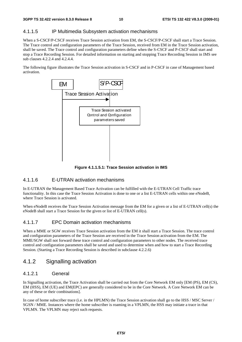# 4.1.1.5 IP Multimedia Subsystem activation mechanisms

When a S-CSCF/P-CSCF receives Trace Session activation from EM, the S-CSCF/P-CSCF shall start a Trace Session. The Trace control and configuration parameters of the Trace Session, received from EM in the Trace Session activation, shall be saved. The Trace control and configuration parameters define when the S-CSCF and P-CSCF shall start and stop a Trace Recording Session. For detailed information on starting and stopping Trace Recording Session in IMS see sub clauses 4.2.2.4 and 4.2.4.4.

The following figure illustrates the Trace Session activation in S-CSCF and in P-CSCF in case of Management based activation.



**Figure 4.1.1.5.1: Trace Session activation in IMS** 

# 4.1.1.6 E-UTRAN activation mechanisms

In E-UTRAN the Management Based Trace Activation can be fulfilled with the E-UTRAN Cell Traffic trace functionality. In this case the Trace Session Activation is done to one or a list E-UTRAN cells within one eNodeB, where Trace Session is activated.

When eNodeB receives the Trace Session Activation message from the EM for a given or a list of E-UTRAN cell(s) the eNodeB shall start a Trace Session for the given or list of E-UTRAN cell(s).

# 4.1.1.7 EPC Domain activation mechanisms

When a MME or SGW receives Trace Session activation from the EM it shall start a Trace Session. The trace control and configuration parameters of the Trace Session are received in the Trace Session activation from the EM. The MME/SGW shall not forward these trace control and configuration parameters to other nodes. The received trace control and configuration parameters shall be saved and used to determine when and how to start a Trace Recording Session. (Starting a Trace Recording Session is described in subclause 4.2.2.6)

# 4.1.2 Signalling activation

# 4.1.2.1 General

In Signalling activation, the Trace Activation shall be carried out from the Core Network EM only [EM (PS), EM (CS), EM (HSS), EM (UE) and EM(EPC) are generally considered to be in the Core Network. A Core Network EM can be any of these or their combinations].

In case of home subscriber trace (i.e. in the HPLMN) the Trace Session activation shall go to the HSS / MSC Server / SGSN / MME. Instances where the home subscriber is roaming in a VPLMN, the HSS may initiate a trace in that VPLMN. The VPLMN may reject such requests.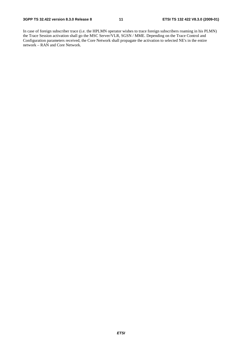In case of foreign subscriber trace (i.e. the HPLMN operator wishes to trace foreign subscribers roaming in his PLMN) the Trace Session activation shall go the MSC Server/VLR, SGSN / MME. Depending on the Trace Control and Configuration parameters received, the Core Network shall propagate the activation to selected NE's in the entire network – RAN and Core Network.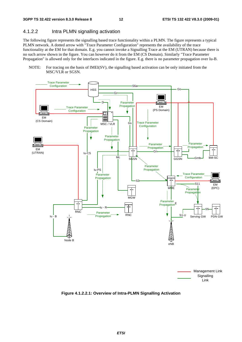# 4.1.2.2 Intra PLMN signalling activation

The following figure represents the signalling based trace functionality within a PLMN. The figure represents a typical PLMN network. A dotted arrow with "Trace Parameter Configuration" represents the availability of the trace functionality at the EM for that domain. E.g. you cannot invoke a Signalling Trace at the EM (UTRAN) because there is no such arrow shown in the figure. You can however do it from the EM (CS Domain). Similarly "Trace Parameter Propagation" is allowed only for the interfaces indicated in the figure. E.g. there is no parameter propagation over Iu-B.

NOTE: For tracing on the basis of IMEI(SV), the signalling based activation can be only initiated from the MSC/VLR or SGSN.



**Figure 4.1.2.2.1: Overview of Intra-PLMN Signalling Activation**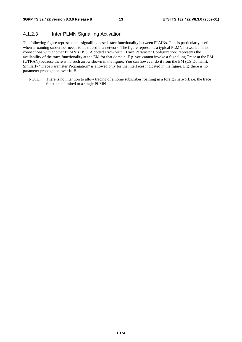# 4.1.2.3 Inter PLMN Signalling Activation

The following figure represents the signalling based trace functionality between PLMNs. This is particularly useful when a roaming subscriber needs to be traced in a network. The figure represents a typical PLMN network and its connections with another PLMN's HSS. A dotted arrow with "Trace Parameter Configuration" represents the availability of the trace functionality at the EM for that domain. E.g. you cannot invoke a Signalling Trace at the EM (UTRAN) because there is no such arrow shown in the figure. You can however do it from the EM (CS Domain). Similarly "Trace Parameter Propagation" is allowed only for the interfaces indicated in the figure. E.g. there is no parameter propagation over Iu-B.

NOTE: There is no intention to allow tracing of a home subscriber roaming in a foreign network i.e. the trace function is limited to a single PLMN.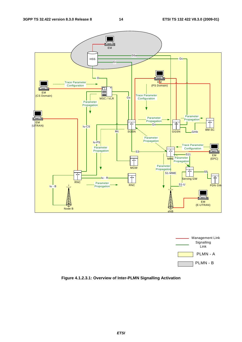



**Figure 4.1.2.3.1: Overview of Inter-PLMN Signalling Activation**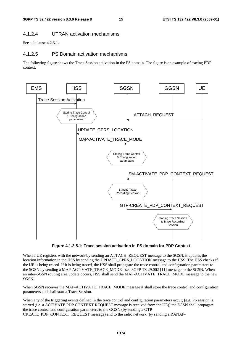### 4.1.2.4 UTRAN activation mechanisms

See subclause 4.2.3.1.

#### 4.1.2.5 PS Domain activation mechanisms

The following figure shows the Trace Session activation in the PS domain. The figure is an example of tracing PDP context.



**Figure 4.1.2.5.1: Trace session activation in PS domain for PDP Context** 

When a UE registers with the network by sending an ATTACH\_REQUEST message to the SGSN, it updates the location information in the HSS by sending the UPDATE\_GPRS\_LOCATION message to the HSS. The HSS checks if the UE is being traced. If it is being traced, the HSS shall propagate the trace control and configuration parameters to the SGSN by sending a MAP-ACTIVATE\_TRACE\_MODE - see 3GPP TS 29.002 [11] message to the SGSN. When an inter-SGSN routing area update occurs, HSS shall send the MAP-ACTIVATE\_TRACE\_MODE message to the new SGSN.

When SGSN receives the MAP-ACTIVATE\_TRACE\_MODE message it shall store the trace control and configuration parameters and shall start a Trace Session.

When any of the triggering events defined in the trace control and configuration parameters occur, (e.g. PS session is started (i.e. a ACTIVATE PDP CONTEXT REQUEST message is received from the UE)) the SGSN shall propagate the trace control and configuration parameters to the GGSN (by sending a GTP-CREATE\_PDP\_CONTEXT\_REQUEST message) and to the radio network (by sending a RANAP-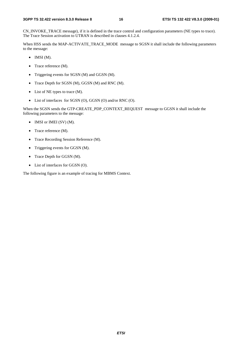CN\_INVOKE\_TRACE message), if it is defined in the trace control and configuration parameters (NE types to trace). The Trace Session activation to UTRAN is described in clauses 4.1.2.4.

When HSS sends the MAP-ACTIVATE\_TRACE\_MODE message to SGSN it shall include the following parameters to the message:

- $\bullet$  IMSI (M).
- Trace reference (M).
- Triggering events for SGSN (M) and GGSN (M).
- Trace Depth for SGSN (M), GGSN (M) and RNC (M).
- List of NE types to trace (M).
- List of interfaces for SGSN (O), GGSN (O) and/or RNC (O).

When the SGSN sends the GTP-CREATE\_PDP\_CONTEXT\_REQUEST message to GGSN it shall include the following parameters to the message:

- IMSI or IMEI (SV) (M).
- Trace reference (M).
- Trace Recording Session Reference (M).
- Triggering events for GGSN (M).
- Trace Depth for GGSN (M).
- List of interfaces for GGSN (O).

The following figure is an example of tracing for MBMS Context.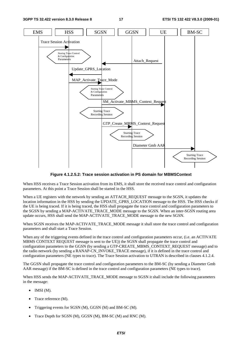

**Figure 4.1.2.5.2: Trace session activation in PS domain for MBMSContext** 

When HSS receives a Trace Session activation from its EMS, it shall store the received trace control and configuration parameters. At this point a Trace Session shall be started in the HSS.

When a UE registers with the network by sending an ATTACH\_REQUEST message to the SGSN, it updates the location information in the HSS by sending the UPDATE\_GPRS\_LOCATION message to the HSS. The HSS checks if the UE is being traced. If it is being traced, the HSS shall propagate the trace control and configuration parameters to the SGSN by sending a MAP-ACTIVATE\_TRACE\_MODE message to the SGSN. When an inter-SGSN routing area update occurs, HSS shall send the MAP-ACTIVATE\_TRACE\_MODE message to the new SGSN.

When SGSN receives the MAP-ACTIVATE\_TRACE\_MODE message it shall store the trace control and configuration parameters and shall start a Trace Session.

When any of the triggering events defined in the trace control and configuration parameters occur, (i.e. an ACTIVATE MBMS CONTEXT REQUEST message is sent to the UE)) the SGSN shall propagate the trace control and configuration parameters to the GGSN (by sending a GTP-CREATE\_MBMS\_CONTEXT\_REQUEST message) and to the radio network (by sending a RANAP-CN\_INVOKE\_TRACE message), if it is defined in the trace control and configuration parameters (NE types to trace). The Trace Session activation to UTRAN is described in clauses 4.1.2.4.

The GGSN shall propagate the trace control and configuration parameters to the BM-SC (by sending a Diameter Gmb AAR message) if the BM-SC is defined in the trace control and configuration parameters (NE types to trace).

When HSS sends the MAP-ACTIVATE\_TRACE\_MODE message to SGSN it shall include the following parameters in the message:

- IMSI  $(M)$ .
- Trace reference (M).
- Triggering events for SGSN (M), GGSN (M) and BM-SC (M).
- Trace Depth for SGSN (M), GGSN (M), BM-SC (M) and RNC (M).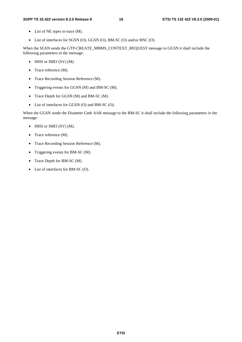#### **3GPP TS 32.422 version 8.3.0 Release 8 18 ETSI TS 132 422 V8.3.0 (2009-01)**

- List of NE types to trace (M).
- List of interfaces for SGSN (O), GGSN (O), BM-SC (O) and/or RNC (O).

When the SGSN sends the GTP-CREATE\_MBMS\_CONTEXT\_REQUEST message to GGSN it shall include the following parameters in the message:

- IMSI or IMEI (SV) (M).
- Trace reference (M).
- Trace Recording Session Reference (M).
- Triggering events for GGSN (M) and BM-SC (M).
- Trace Depth for GGSN (M) and BM-SC (M).
- List of interfaces for GGSN (O) and BM-SC (O).

When the GGSN sends the Diameter Gmb AAR message to the BM-SC it shall include the following parameters in the message:

- IMSI or IMEI (SV) (M).
- Trace reference (M).
- Trace Recording Session Reference (M).
- Triggering events for BM-SC (M).
- Trace Depth for BM-SC (M).
- List of interfaces for BM-SC (O).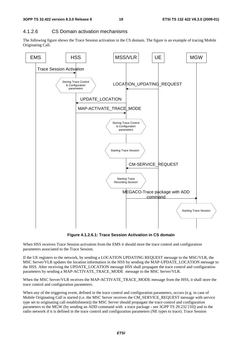# 4.1.2.6 CS Domain activation mechanisms

The following figure shows the Trace Session activation in the CS domain. The figure is an example of tracing Mobile Originating Call.



**Figure 4.1.2.6.1: Trace Session Activation in CS domain** 

When HSS receives Trace Session activation from the EMS it should store the trace control and configuration parameters associated to the Trace Session.

If the UE registers to the network, by sending a LOCATION UPDATING REQUEST message to the MSC/VLR, the MSC Server/VLR updates the location information in the HSS by sending the MAP-UPDATE\_LOCATION message to the HSS. After receiving the UPDATE\_LOCATION message HSS shall propagate the trace control and configuration parameters by sending a MAP-ACTIVATE\_TRACE\_MODE message to the MSC Server/VLR.

When the MSC Server/VLR receives the MAP-ACTIVATE\_TRACE\_MODE message from the HSS, it shall store the trace control and configuration parameters.

When any of the triggering event, defined in the trace control and configuration parameters, occurs (e.g. in case of Mobile Originating Call is started (i.e. the MSC Server receives the CM\_SERVICE\_REQUEST message with service type set to originating call establishment)) the MSC Server should propagate the trace control and configuration parameters to the MGW (by sending an ADD command with a trace package - see 3GPP TS 29.232 [10]) and to the radio network if it is defined in the trace control and configuration parameters (NE types to trace). Trace Session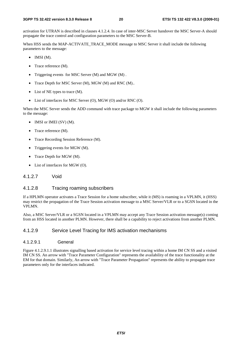activation for UTRAN is described in clauses 4.1.2.4. In case of inter-MSC Server handover the MSC Server-A should propagate the trace control and configuration parameters to the MSC Server-B.

When HSS sends the MAP-ACTIVATE\_TRACE\_MODE message to MSC Server it shall include the following parameters to the message:

- $\bullet$  IMSI (M).
- Trace reference (M).
- Triggering events for MSC Server (M) and MGW (M) .
- Trace Depth for MSC Server (M), MGW (M) and RNC (M)..
- List of NE types to trace (M).
- List of interfaces for MSC Server (O), MGW (O) and/or RNC (O).

When the MSC Server sends the ADD command with trace package to MGW it shall include the following parameters to the message:

- IMSI or IMEI (SV) (M).
- Trace reference (M).
- Trace Recording Session Reference (M).
- Triggering events for MGW (M).
- Trace Depth for MGW (M).
- List of interfaces for MGW (O).
- 4.1.2.7 Void

#### 4.1.2.8 Tracing roaming subscribers

If a HPLMN operator activates a Trace Session for a home subscriber, while it (MS) is roaming in a VPLMN, it (HSS) may restrict the propagation of the Trace Session activation message to a MSC Server/VLR or to a SGSN located in the VPLMN.

Also, a MSC Server/VLR or a SGSN located in a VPLMN may accept any Trace Session activation message(s) coming from an HSS located in another PLMN. However, there shall be a capability to reject activations from another PLMN.

#### 4.1.2.9 Service Level Tracing for IMS activation mechanisms

#### 4.1.2.9.1 General

Figure 4.1.2.9.1.1 illustrates signalling based activation for service level tracing within a home IM CN SS and a visited IM CN SS. An arrow with "Trace Parameter Configuration" represents the availability of the trace functionality at the EM for that domain. Similarly, An arrow with "Trace Parameter Propagation" represents the ability to propagate trace parameters only for the interfaces indicated.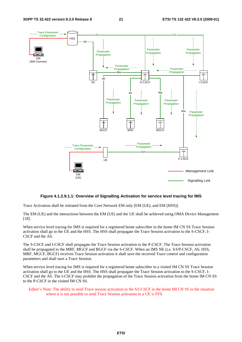

#### **Figure 4.1.2.9.1.1: Overview of Signalling Activation for service level tracing for IMS**

Trace Activation shall be initiated from the Core Network EM only [EM (UE), and EM (HSS)].

The EM (UE) and the interactions between the EM (UE) and the UE shall be achieved using OMA Device Management [18].

When service level tracing for IMS is required for a registered home subscriber in the home IM CN SS Trace Session activation shall go to the UE and the HSS. The HSS shall propagate the Trace Session activation to the S-CSCF, I-CSCF and the AS.

The S-CSCF and I-CSCF shall propagate the Trace Session activation to the P-CSCF. The Trace Session activation shall be propagated to the MRF, MGCF and BGCF via the S-CSCF. When an IMS NE (i.e. S/I/P-CSCF, AS, HSS, MRF, MGCF, BGCF) receives Trace Session activation it shall save the received Trace control and configuration parameters and shall start a Trace Session.

When service level tracing for IMS is required for a registered home subscriber in a visited IM CN SS Trace Session activation shall go to the UE and the HSS. The HSS shall propagate the Trace Session activation to the S-CSCF, I-CSCF and the AS. The I-CSCF may prohibit the propagation of the Trace Session activation from the home IM CN SS to the P-CSCF in the visited IM CN SS.

Editor's Note: The ability to send Trace session activation to the S/I-CSCF in the home IM CN SS in the situation where it is not possible to send Trace Session activation to a UE is FFS.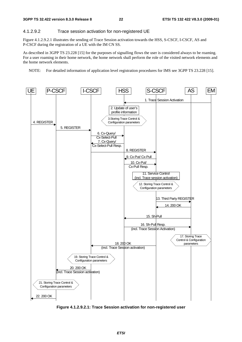#### 4.1.2.9.2 Trace session activation for non-registered UE

Figure 4.1.2.9.2.1 illustrates the sending of Trace Session activation towards the HSS, S-CSCF, I-CSCF, AS and P-CSCF during the registration of a UE with the IM CN SS.

As described in 3GPP TS 23.228 [15] for the purposes of signalling flows the user is considered always to be roaming. For a user roaming in their home network, the home network shall perform the role of the visited network elements and the home network elements.

NOTE: For detailed information of application level registration procedures for IMS see 3GPP TS 23.228 [15].



**Figure 4.1.2.9.2.1: Trace Session activation for non-registered user**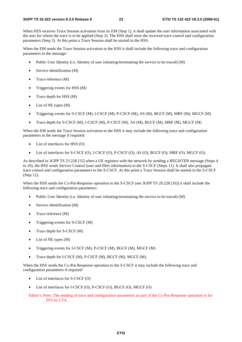When HSS receives Trace Session activation from its EM (Step 1), it shall update the user information associated with the user for whom the trace is to be applied (Step 2). The HSS shall store the received trace control and configuration parameters (Step 3). At this point a Trace Session shall be started in the HSS.

When the EM sends the Trace Session activation to the HSS it shall include the following trace and configuration parameters in the message:

- Public User Identity (i.e. Identity of user initiating/terminating the service to be traced) (M)
- Service identification (M)
- Trace reference (M)
- Triggering events for HSS (M)
- Trace depth for HSS (M)
- List of NE types (M)
- Triggering events for S-CSCF (M), I-CSCF (M), P-CSCF (M), AS (M), BGCF (M), MRF (M), MGCF (M)
- Trace depth for S-CSCF (M), I-CSCF (M), P-CSCF (M), AS (M), BGCF (M), MRF (M), MGCF (M)

When the EM sends the Trace Session activation to the HSS it may include the following trace and configuration parameters in the message if required:

- List of interfaces for HSS (O)
- List of interfaces for S-CSCF (O), I-CSCF (O), P-CSCF (O), AS (O), BGCF (O), MRF (O), MGCF (O).

As described in 3GPP TS 23.228 [15] when a UE registers with the network by sending a REGISTER message (Steps 4 to 10), the HSS sends Service Control (user and filter information) to the S-CSCF (Steps 11). It shall also propagate trace control and configuration parameters to the S-CSCF. At this point a Trace Session shall be started in the S-CSCF (Step 12).

When the HSS sends the Cx-Put-Response operation to the S-CSCF (see 3GPP TS 29.228 [16]) it shall include the following trace and configuration parameters:

- Public User Identity (i.e. Identity of user initiating/terminating the service to be traced) (M)
- Service identification (M)
- Trace reference (M)
- Triggering events for S-CSCF (M)
- Trace depth for S-CSCF (M)
- List of NE types (M)
- Triggering events for I-CSCF (M), P-CSCF (M), BGCF (M), MGCF (M)
- Trace depth for I-CSCF (M), P-CSCF (M), BGCF (M), MGCF (M).

When the HSS sends the Cx-Put-Response operation to the S-CSCF it may include the following trace and configuration parameters if required:

- List of interfaces for S-CSCF (O)
- List of interfaces for I-CSCF (O), P-CSCF (O), BGCF (O), MGCF (O)
- Editor's Note: The sending of trace and configuration parameters as part of the Cx-Put-Response operation is for FFS by CT4.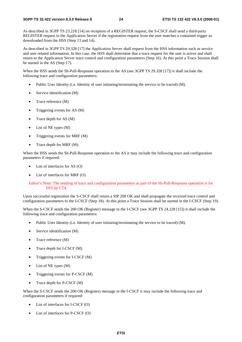As described in 3GPP TS 23.218 [14] on reception of a REGISTER request, the S-CSCF shall send a third-party REGISTER request to the Application Server if the registration request from the user matches a contained trigger as downloaded from the HSS (Step 13 and 14).

As described in 3GPP TS 29.328 [17] the Application Server shall request from the HSS information such as service and user related information. In this case, the HSS shall determine that a trace request for the user is active and shall return to the Application Server trace control and configuration parameters (Step 16). At this point a Trace Session shall be started in the AS (Step 17).

When the HSS sends the Sh-Pull-Response operation to the AS (see 3GPP TS 29.328 [17]) it shall include the following trace and configuration parameters:

- Public User Identity (i.e. Identity of user initiating/terminating the service to be traced) (M).
- Service identification (M)
- Trace reference (M)
- Triggering events for AS (M)
- Trace depth for AS (M)
- List of NE types (M)
- Triggering events for MRF (M)
- Trace depth for MRF (M).

When the HSS sends the Sh-Pull-Response operation to the AS it may include the following trace and configuration parameters if required:

- List of interfaces for AS $(O)$
- List of interfaces for MRF (O)

#### Editor's Note: The sending of trace and configuration parameters as part of the Sh-Pull-Response operation is for FFS by CT4.

Upon successful registration the S-CSCF shall return a SIP 200 OK and shall propagate the received trace control and configuration parameters to the I-CSCF (Step 18). At this point a Trace Session shall be started in the I-CSCF (Step 19).

When the S-CSCF sends the 200 OK (Register) message to the I-CSCF (see 3GPP TS 24.228 [15]) it shall include the following trace and configuration parameters:

- Public User Identity (i.e. Identity of user initiating/terminating the service to be traced) (M).
- Service identification (M)
- Trace reference (M)
- Trace depth for I-CSCF (M)
- Triggering events for I-CSCF (M)
- List of NE types (M)
- Triggering events for P-CSCF (M)
- Trace depth for P-CSCF (M)

When the S-CSCF sends the 200 OK (Register) message to the I-CSCF it may include the following trace and configuration parameters if required:

- List of interfaces for I-CSCF (O)
- List of interfaces for P-CSCF (O)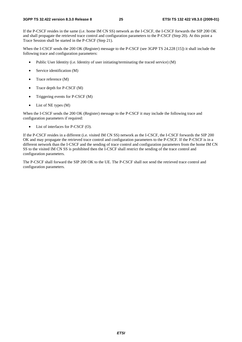If the P-CSCF resides in the same (i.e. home IM CN SS) network as the I-CSCF, the I-CSCF forwards the SIP 200 OK and shall propagate the retrieved trace control and configuration parameters to the P-CSCF (Step 20). At this point a Trace Session shall be started in the P-CSCF (Step 21).

When the I-CSCF sends the 200 OK (Register) message to the P-CSCF (see 3GPP TS 24.228 [15]) it shall include the following trace and configuration parameters:

- Public User Identity (i.e. Identity of user initiating/terminating the traced service) (M)
- Service identification (M)
- Trace reference (M)
- Trace depth for P-CSCF (M)
- Triggering events for P-CSCF (M)
- $\bullet$  List of NE types  $(M)$

When the I-CSCF sends the 200 OK (Register) message to the P-CSCF it may include the following trace and configuration parameters if required:

• List of interfaces for P-CSCF (O).

If the P-CSCF resides in a different (i.e. visited IM CN SS) network as the I-CSCF, the I-CSCF forwards the SIP 200 OK and may propagate the retrieved trace control and configuration parameters to the P-CSCF. If the P-CSCF is in a different network than the I-CSCF and the sending of trace control and configuration parameters from the home IM CN SS to the visited IM CN SS is prohibited then the I-CSCF shall restrict the sending of the trace control and configuration parameters.

The P-CSCF shall forward the SIP 200 OK to the UE. The P-CSCF shall not send the retrieved trace control and configuration parameters.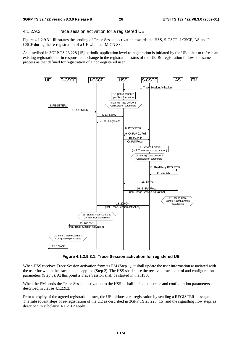#### 4.1.2.9.3 Trace session activation for a registered UE

Figure 4.1.2.9.3.1 illustrates the sending of Trace Session activation towards the HSS, S-CSCF, I-CSCF, AS and P-CSCF during the re-registration of a UE with the IM CN SS.

As described in 3GPP TS 23.228 [15] periodic application level re-registration is initiated by the UE either to refresh an existing registration or in response to a change in the registration status of the UE. Re-registration follows the same process as that defined for registration of a non-registered user.



**Figure 4.1.2.9.3.1: Trace Session activation for registered UE** 

When HSS receives Trace Session activation from its EM (Step 1), it shall update the user information associated with the user for whom the trace is to be applied (Step 2). The HSS shall store the received trace control and configuration parameters (Step 3). At this point a Trace Session shall be started in the HSS.

When the EM sends the Trace Session activation to the HSS it shall include the trace and configuration parameters as described in clause 4.1.2.9.2.

Prior to expiry of the agreed registration timer, the UE initiates a re-registration by sending a REGISTER message. The subsequent steps of re-registration of the UE as described in 3GPP TS 23.228 [15] and the signalling flow steps as described in subclause 4.1.2.9.2 apply.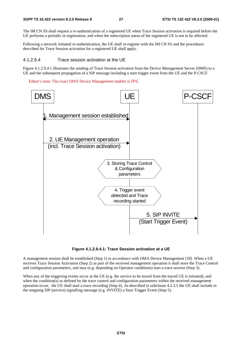The IM CN SS shall request a re-authentication of a registered UE when Trace Session activation is required before the UE performs a periodic re-registration, and when the subscription status of the registered UE is not to be affected.

Following a network initiated re-authentication, the UE shall re-register with the IM CN SS and the procedures described for Trace Session activation for a registered UE shall apply.

#### 4.1.2.9.4 Trace session activation at the UE

Figure 4.1.2.9.4.1 illustrates the sending of Trace Session activation from the Device Management Server (DMS) to a UE and the subsequent propagation of a SIP message including a start trigger event from the UE and the P-CSCF.

Editor's note: The exact OMA Device Management enabler is FFS.



**Figure 4.1.2.9.4.1: Trace Session activation at a UE** 

A management session shall be established (Step 1) in accordance with OMA Device Management [18]. When a UE receives Trace Session Activation (Step 2) as part of the received management operation it shall store the Trace Control and configuration parameters, and may (e.g. depending on Operator conditions) start a trace session (Step 3).

When any of the triggering events occur at the UE (e.g. the service to be traced from the traced UE is initiated), and when the condition(s) as defined by the trace control and configuration parameters within the received management operation occur, the UE shall start a trace recording (Step 4). As described in subclause 4.2.3.5 the UE shall include in the outgoing SIP (service) signalling message (e.g. INVITE) a Start Trigger Event (Step 5).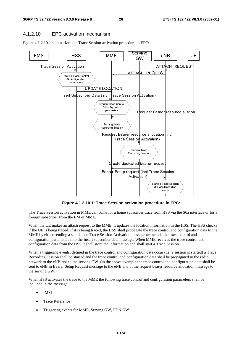### 4.1.2.10 EPC activation mechanism

Figure 4.1.2.10.1 summarizes the Trace Session activation procedure in EPC:



**Figure 4.1.2.10.1: Trace Session activation procedure in EPC:** 

The Trace Session activation in MME can come for a home subscriber trace from HSS via the S6a interface or for a foreign subscriber from the EM of MME.

<sup>8</sup> Trace Recording<br>
<sup>8</sup> Trace Recording<br>
<sup>9</sup><br> **Cedure in EPC:**<br>
<br> **Cedure in EPC:**<br>
<br> **Cedure in EPC:**<br>
<br>
<br> **Condition**:<br>
<br> **Condition**:<br>
<br> **CONDIDE TRACE SESSION:**<br>
<br> **CONDIDE ACE ACE SESSION:**<br>
<br> **CONDIDE ACE ACE SESSIO** Session<br>  $\overline{\phantom{a}}$ <br>  $\overline{\phantom{a}}$ <br>  $\overline{\phantom{a}}$ <br>  $\overline{\phantom{a}}$ <br>  $\overline{\phantom{a}}$ <br>  $\overline{\phantom{a}}$ <br>  $\overline{\phantom{a}}$ <br>  $\overline{\phantom{a}}$ <br>  $\overline{\phantom{a}}$ <br>  $\overline{\phantom{a}}$ <br>  $\overline{\phantom{a}}$ <br>  $\overline{\phantom{a}}$ <br>  $\overline{\phantom{a}}$ <br>  $\overline{\phantom{a}}$ <br>  $\overline{\phantom{a}}$ <br>  $\overline{\phantom{a}}$ <br>  $\overline$ Tre in<br>
I HSS<br>
ation<br>
e the procession<br>
e sall be and<br>
procession<br>
procession<br>
expansion<br>
expansion<br>
expansion<br>
expansion<br>
expansion<br>
expansion<br>
expansion<br>
expansion<br>
expansion<br>
expansion<br>
expansion<br>
expansion<br>
expansion<br> Financial Contracts of the location pubscriber transference of the location of the location and shall singuration of iguration in the requence control and control and control and control and control and control and control When the UE makes an attach request to the MME, it updates the location information in the HSS. The HSS checks if the UE is being traced. If it is being traced, the HSS shall propagate the trace control and configuration data to the MME by either sending a standalone Trace Session Activation message or include the trace control and configuration parameters into the Insert subscriber data message. When MME receives the trace control and configuration data from the HSS it shall store the information and shall start a Trace Session.

When a triggering events, defined in the trace control and configuration data occur (i.e. a session is started) a Trace Recording Session shall be started and the trace control and configuration data shall be propagated to the radio network to the eNB and to the serving GW. (in the above example the trace control and configuration data shall be sent to eNB in Bearer Setup Request message to the eNB and in the request bearer resource allocation message to the serving GW.)

When HSS activates the trace to the MME the following trace control and configuration parameters shall be included in the message:

- IMSI
- Trace Reference
- Triggering events for MME, Serving GW, PDN GW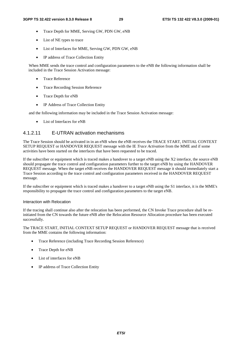- Trace Depth for MME, Serving GW, PDN GW, eNB
- List of NE types to trace
- List of Interfaces for MME, Serving GW, PDN GW, eNB
- IP address of Trace Collection Entity

When MME sends the trace control and configuration parameters to the eNB the following information shall be included in the Trace Session Activation message:

- Trace Reference
- Trace Recording Session Reference
- Trace Depth for eNB
- IP Address of Trace Collection Entity

and the following information may be included in the Trace Session Activation message:

• List of Interfaces for eNB

#### 4.1.2.11 E-UTRAN activation mechanisms

The Trace Session should be activated in in an eNB when the eNB receives the TRACE START, INITIAL CONTEXT SETUP REQUEST or HANDOVER REQUEST message with the IE *Trace Activation* from the MME and if some activities have been started on the interfaces that have been requested to be traced.

If the subscriber or equipment which is traced makes a handover to a target eNB using the X2 interface, the source eNB should propagate the trace control and configuration parameters further to the target eNB by using the HANDOVER REQUEST message. When the target eNB receives the HANDOVER REQUEST message it should immediately start a Trace Session according to the trace control and configuration parameters received in the HANDOVER REQUEST message.

If the subscriber or equipment which is traced makes a handover to a target eNB using the S1 interface, it is the MME's responsibility to propagate the trace control and configuration parameters to the target eNB.

#### Interaction with Relocation

If the tracing shall continue also after the relocation has been performed, the CN Invoke Trace procedure shall be reinitiated from the CN towards the future eNB after the Relocation Resource Allocation procedure has been executed successfully.

The TRACE START, INITIAL CONTEXT SETUP REQUEST or HANDOVER REQUEST message that is received from the MME contains the following information:

- Trace Reference (including Trace Recording Session Reference)
- Trace Depth for eNB
- List of interfaces for eNB
- IP address of Trace Collection Entity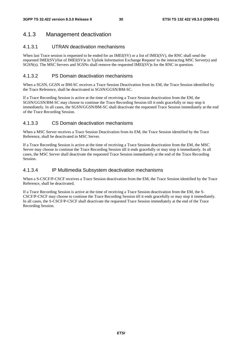# 4.1.3 Management deactivation

## 4.1.3.1 UTRAN deactivation mechanisms

When last Trace session is requested to be ended for an IMEI(SV) or a list of IMEI(SV), the RNC shall send the requested IMEI(SV)/list of IMEI(SV)s in 'Uplink Information Exchange Request' to the interacting MSC Server(s) and SGSN(s). The MSC Servers and SGSNs shall remove the requested IMEI(SV)s for the RNC in question.

# 4.1.3.2 PS Domain deactivation mechanisms

When a SGSN, GGSN or BM-SC receives a Trace Session Deactivation from its EM, the Trace Session identified by the Trace Reference, shall be deactivated in SGSN/GGSN/BM-SC.

If a Trace Recording Session is active at the time of receiving a Trace Session deactivation from the EM, the SGSN/GGSN/BM-SC may choose to continue the Trace Recording Session till it ends gracefully or may stop it immediately. In all cases, the SGSN/GGSN/BM-SC shall deactivate the requested Trace Session immediately at the end of the Trace Recording Session.

# 4.1.3.3 CS Domain deactivation mechanisms

When a MSC Server receives a Trace Session Deactivation from its EM, the Trace Session identified by the Trace Reference, shall be deactivated in MSC Server.

If a Trace Recording Session is active at the time of receiving a Trace Session deactivation from the EM, the MSC Server may choose to continue the Trace Recording Session till it ends gracefully or may stop it immediately. In all cases, the MSC Server shall deactivate the requested Trace Session immediately at the end of the Trace Recording Session.

### 4.1.3.4 IP Multimedia Subsystem deactivation mechanisms

When a S-CSCF/P-CSCF receives a Trace Session deactivation from the EM, the Trace Session identified by the Trace Reference, shall be deactivated.

If a Trace Recording Session is active at the time of receiving a Trace Session deactivation from the EM, the S-CSCF/P-CSCF may choose to continue the Trace Recording Session till it ends gracefully or may stop it immediately. In all cases, the S-CSCF/P-CSCF shall deactivate the requested Trace Session immediately at the end of the Trace Recording Session.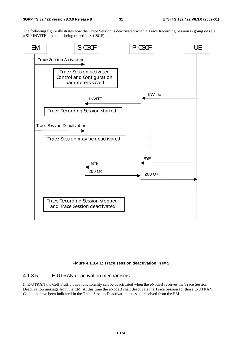The following figure illustrates how the Trace Session is deactivated when a Trace Recording Session is going on (e.g. a SIP INVITE method is being traced in S-CSCF).



#### **Figure 4.1.3.4.1: Trace session deactivation in IMS**

## 4.1.3.5 E-UTRAN deactivation mechanisms

In E-UTRAN the Cell Traffic trace functionality can be deactivated when the eNodeB receives the Trace Session Deactivation message from the EM. At this time the eNodeB shall deactivate the Trace Session for those E-UTRAN Cells that have been indicated in the Trace Session Deactivation message received from the EM.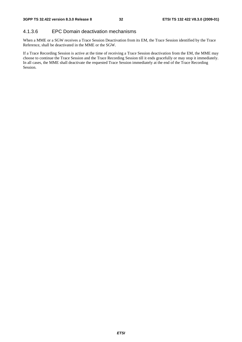## 4.1.3.6 EPC Domain deactivation mechanisms

When a MME or a SGW receives a Trace Session Deactivation from its EM, the Trace Session identified by the Trace Reference, shall be deactivated in the MME or the SGW.

If a Trace Recording Session is active at the time of receiving a Trace Session deactivation from the EM, the MME may choose to continue the Trace Session and the Trace Recording Session till it ends gracefully or may stop it immediately. In all cases, the MME shall deactivate the requested Trace Session immediately at the end of the Trace Recording Session.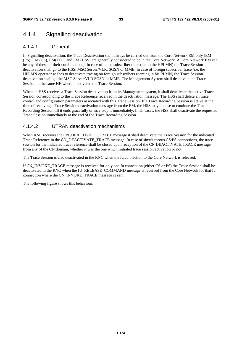# 4.1.4 Signalling deactivation

### 4.1.4.1 General

In Signalling deactivation, the Trace Deactivation shall always be carried out from the Core Network EM only [EM (PS), EM (CS), EM(EPC) and EM (HSS) are generally considered to be in the Core Network. A Core Network EM can be any of these or their combinations]. In case of home subscriber trace (i.e. in the HPLMN) the Trace Session deactivation shall go to the HSS, MSC Server/VLR, SGSN or MME. In case of foreign subscriber trace (i.e. the HPLMN operator wishes to deactivate tracing on foreign subscribers roaming in his PLMN) the Trace Session deactivation shall go the MSC Server/VLR SGSN or MME. The Management System shall deactivate the Trace Session in the same NE where it activated the Trace Session.

When an HSS receives a Trace Session deactivation from its Management system, it shall deactivate the active Trace Session corresponding to the Trace Reference received in the deactivation message. The HSS shall delete all trace control and configuration parameters associated with this Trace Session. If a Trace Recording Session is active at the time of receiving a Trace Session deactivation message from the EM, the HSS may choose to continue the Trace Recording Session till it ends gracefully or may stop it immediately. In all cases, the HSS shall deactivate the requested Trace Session immediately at the end of the Trace Recording Session.

### 4.1.4.2 UTRAN deactivation mechanisms

When RNC receives the CN\_DEACTIVATE\_TRACE message it shall deactivate the Trace Session for the indicated Trace Reference in the CN\_DEACTIVATE\_TRACE message. In case of simultaneous CS/PS connections, the trace session for the indicated trace reference shall be closed upon reception of the CN DEACTIVATE TRACE message from any of the CN domain, whether it was the one which initiated trace session activation or not.

The Trace Session is also deactivated in the RNC when the Iu connection to the Core Network is released.

If CN\_INVOKE\_TRACE message is received for only one Iu connection (either CS or PS) the Trace Session shall be deactivated in the RNC when the IU\_RELEASE\_COMMAND message is received from the Core Network for that Iu connection where the CN\_INVOKE\_TRACE message is sent.

The following figure shows this behaviour: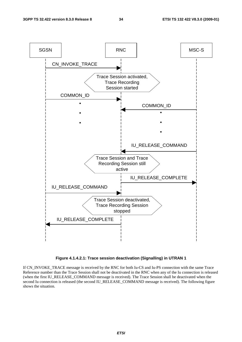

**Figure 4.1.4.2.1: Trace session deactivation (Signalling) in UTRAN 1** 

If CN\_INVOKE\_TRACE message is received by the RNC for both Iu-CS and Iu-PS connection with the same Trace Reference number than the Trace Session shall not be deactivated in the RNC when any of the Iu connection is released (when the first IU\_RELEASE\_COMMAND message is received). The Trace Session shall be deactivated when the second Iu connection is released (the second IU\_RELEASE\_COMMAND message is received). The following figure shows the situation.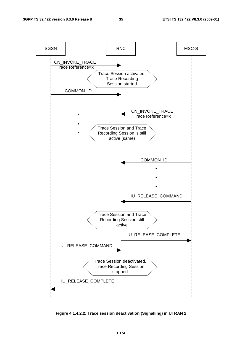

**Figure 4.1.4.2.2: Trace session deactivation (Signalling) in UTRAN 2**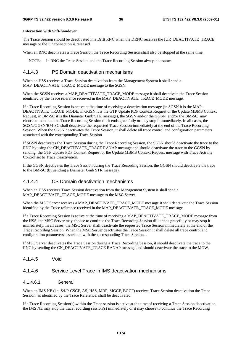#### **Interaction with Soft-handover**

The Trace Session should be deactivated in a Drift RNC when the DRNC receives the IUR\_DEACTIVATE\_TRACE message or the Iur connection is released.

When an RNC deactivates a Trace Session the Trace Recording Session shall also be stopped at the same time.

NOTE: In RNC the Trace Session and the Trace Recording Session always the same.

### 4.1.4.3 PS Domain deactivation mechanisms

When an HSS receives a Trace Session deactivation from the Management System it shall send a MAP\_DEACTIVATE\_TRACE\_MODE message to the SGSN.

When the SGSN receives a MAP\_DEACTIVATE\_TRACE\_MODE message it shall deactivate the Trace Session identified by the Trace reference received in the MAP\_DEACTIVATE\_TRACE\_MODE message.

If a Trace Recording Session is active at the time of receiving a deactivation message (in SGSN it is the MAP-DEACTIVATE\_TRACE\_MODE, in GGSN it is the GTP Update PDP Context Request or the Update MBMS Context Request, in BM-SC it is the Diameter Gmb STR message), the SGSN and/or the GGSN and/or the BM-SC may choose to continue the Trace Recording Session till it ends gracefully or may stop it immediately. In all cases, the SGSN/GGSN/BM-SC shall deactivate the requested Trace Session immediately at the end of the Trace Recording Session. When the SGSN deactivates the Trace Session, it shall delete all trace control and configuration parameters associated with the corresponding Trace Session.

If SGSN deactivates the Trace Session during the Trace Recording Session, the SGSN should deactivate the trace to the RNC by using the CN\_DEACTIVATE\_TRACE RANAP message and should deactivate the trace to the GGSN by sending the GTP Update PDP Context Request or the Update MBMS Context Request message with Trace Activity Control set to Trace Deactivation.

If the GGSN deactivates the Trace Session during the Trace Recording Session, the GGSN should deactivate the trace to the BM-SC (by sending a Diameter Gmb STR message).

#### 4.1.4.4 CS Domain deactivation mechanisms

When an HSS receives Trace Session deactivation from the Management System it shall send a MAP\_DEACTIVATE\_TRACE\_MODE message to the MSC Server.

When the MSC Server receives a MAP\_DEACTIVATE\_TRACE\_MODE message it shall deactivate the Trace Session identified by the Trace reference received in the MAP\_DEACTIVATE\_TRACE\_MODE message.

If a Trace Recording Session is active at the time of receiving a MAP\_DEACTIVATE\_TRACE\_MODE message from the HSS, the MSC Server may choose to continue the Trace Recording Session till it ends gracefully or may stop it immediately. In all cases, the MSC Server shall deactivate the requested Trace Session immediately at the end of the Trace Recording Session. When the MSC Server deactivates the Trace Session it shall delete all trace control and configuration parameters associated with the corresponding Trace Session. .

If MSC Server deactivates the Trace Session during a Trace Recording Session, it should deactivate the trace to the RNC by sending the CN\_DEACTIVATE\_TRACE RANAP message and should deactivate the trace to the MGW.

4.1.4.5 Void

## 4.1.4.6 Service Level Trace in IMS deactivation mechanisms

#### 4.1.4.6.1 General

When an IMS NE (i.e. S/I/P-CSCF, AS, HSS, MRF, MGCF, BGCF) receives Trace Session deactivation the Trace Session, as identified by the Trace Reference, shall be deactivated.

If a Trace Recording Session(s) within the Trace session is active at the time of receiving a Trace Session deactivation, the IMS NE may stop the trace recording session(s) immediately or it may choose to continue the Trace Recording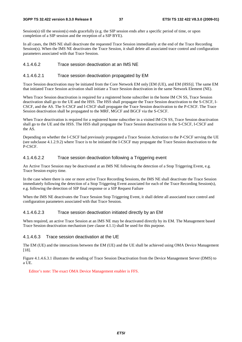Session(s) till the session(s) ends gracefully (e.g. the SIP session ends after a specific period of time, or upon completion of a SIP session and the reception of a SIP BYE).

In all cases, the IMS NE shall deactivate the requested Trace Session immediately at the end of the Trace Recording Session(s). When the IMS NE deactivates the Trace Session, it shall delete all associated trace control and configuration parameters associated with that Trace Session.

## 4.1.4.6.2 Trace session deactivation at an IMS NE

### 4.1.4.6.2.1 Trace session deactivation propagated by EM

Trace Session deactivation may be initiated from the Core Network EM only [EM (UE), and EM (HSS)]. The same EM that initiated Trace Session activation shall initiate a Trace Session deactivation in the same Network Element (NE).

When Trace Session deactivation is required for a registered home subscriber in the home IM CN SS, Trace Session deactivation shall go to the UE and the HSS. The HSS shall propagate the Trace Session deactivation to the S-CSCF, I-CSCF, and the AS. The S-CSCF and I-CSCF shall propagate the Trace Session deactivation to the P-CSCF. The Trace Session deactivation shall be propagated to the MRF, MGCF and BGCF via the S-CSCF.

When Trace deactivation is required for a registered home subscriber in a visited IM CN SS, Trace Session deactivation shall go to the UE and the HSS. The HSS shall propagate the Trace Session deactivation to the S-CSCF, I-CSCF and the AS.

Depending on whether the I-CSCF had previously propagated a Trace Session Activation to the P-CSCF serving the UE (see subclause 4.1.2.9.2) where Trace is to be initiated the I-CSCF may propagate the Trace Session deactivation to the P-CSCF.

#### 4.1.4.6.2.2 Trace session deactivation following a Triggering event

An Active Trace Session may be deactivated at an IMS NE following the detection of a Stop Triggering Event, e.g. Trace Session expiry time.

In the case where there is one or more active Trace Recording Sessions, the IMS NE shall deactivate the Trace Session immediately following the detection of a Stop Triggering Event associated for each of the Trace Recording Session(s), e.g. following the detection of SIP final response or a SIP Request Failure

When the IMS NE deactivates the Trace Session Stop Triggering Event, it shall delete all associated trace control and configuration parameters associated with that Trace Session.

#### 4.1.4.6.2.3 Trace session deactivation initiated directly by an EM

When required, an active Trace Session at an IMS NE may be deactivated directly by its EM. The Management based Trace Session deactivation mechanism (see clause 4.1.1) shall be used for this purpose.

#### 4.1.4.6.3 Trace session deactivation at the UE

The EM (UE) and the interactions between the EM (UE) and the UE shall be achieved using OMA Device Management [18].

Figure 4.1.4.6.3.1 illustrates the sending of Trace Session Deactivation from the Device Management Server (DMS) to a UE.

Editor's note: The exact OMA Device Management enabler is FFS.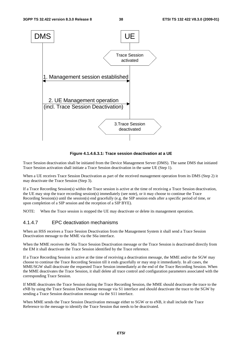

**Figure 4.1.4.6.3.1: Trace session deactivation at a UE** 

Trace Session deactivation shall be initiated from the Device Management Server (DMS). The same DMS that initiated Trace Session activation shall initiate a Trace Session deactivation in the same UE (Step 1).

When a UE receives Trace Session Deactivation as part of the received management operation from its DMS (Step 2) it may deactivate the Trace Session (Step 3).

If a Trace Recording Session(s) within the Trace session is active at the time of receiving a Trace Session deactivation, the UE may stop the trace recording session(s) immediately (see note), or it may choose to continue the Trace Recording Session(s) until the session(s) end gracefully (e.g. the SIP session ends after a specific period of time, or upon completion of a SIP session and the reception of a SIP BYE).

NOTE: When the Trace session is stopped the UE may deactivate or delete its management operation.

## 4.1.4.7 EPC deactivation mechanisms

When an HSS receives a Trace Session Deactivation from the Management System it shall send a Trace Session Deactivation message to the MME via the S6a interface.

When the MME receives the S6a Trace Session Deactivation message or the Trace Session is deactivated directly from the EM it shall deactivate the Trace Session identified by the Trace reference.

If a Trace Recording Session is active at the time of receiving a deactivation message, the MME and/or the SGW may choose to continue the Trace Recording Session till it ends gracefully or may stop it immediately. In all cases, the MME/SGW shall deactivate the requested Trace Session immediately at the end of the Trace Recording Session. When the MME deactivates the Trace Session, it shall delete all trace control and configuration parameters associated with the corresponding Trace Session.

If MME deactivates the Trace Session during the Trace Recording Session, the MME should deactivate the trace to the eNB by using the Trace Session Deactivation message via S1 interface and should deactivate the trace to the SGW by sending a Trace Session deactivation message via the S11 interface.

When MME sends the Trace Session Deactivation message either to SGW or to eNB, it shall include the Trace Reference to the message to identify the Trace Session that needs to be deactivated.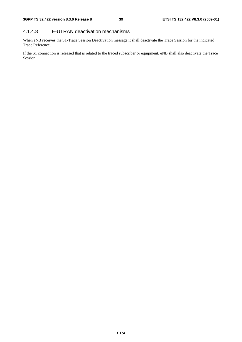# 4.1.4.8 E-UTRAN deactivation mechanisms

When eNB receives the S1-Trace Session Deactivation message it shall deactivate the Trace Session for the indicated Trace Reference.

If the S1 connection is released that is related to the traced subscriber or equipment, eNB shall also deactivate the Trace Session.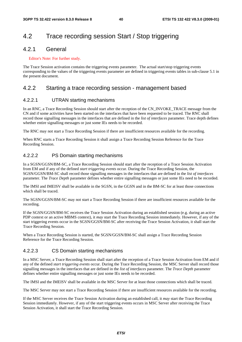# 4.2 Trace recording session Start / Stop triggering

# 4.2.1 General

#### Editor's Note: For further study.

The Trace Session activation contains the triggering events parameter. The actual start/stop triggering events corresponding to the values of the triggering events parameter are defined in triggering events tables in sub-clause 5.1 in the present document.

# 4.2.2 Starting a trace recording session - management based

## 4.2.2.1 UTRAN starting mechanisms

In an RNC, a Trace Recording Session should start after the reception of the CN\_INVOKE\_TRACE message from the CN and if some activities have been started on the interfaces that have been requested to be traced. The RNC shall record those signalling messages in the interfaces that are defined in the *list of interfaces* parameter. Trace depth defines whether entire signalling messages or just some IEs needs to be recorded.

The RNC may not start a Trace Recording Session if there are insufficient resources available for the recording.

When RNC starts a Trace Recording Session it shall assign a Trace Recording Session Reference for the Trace Recording Session.

### 4.2.2.2 PS Domain starting mechanisms

In a SGSN/GGSN/BM-SC, a Trace Recording Session should start after the reception of a Trace Session Activation from EM and if any of the defined *start triggering events* occur. During the Trace Recording Session, the SGSN/GGSN/BM-SC shall record those signalling messages in the interfaces that are defined in the *list of interfaces* parameter. The *Trace Depth* parameter defines whether entire signalling messages or just some IEs need to be recorded.

The IMSI and IMEISV shall be available in the SGSN, in the GGSN and in the BM-SC for at least those connections which shall be traced.

The SGSN/GGSN/BM-SC may not start a Trace Recording Session if there are insufficient resources available for the recording.

If the SGSN/GGSN/BM-SC receives the Trace Session Activation during an established session (e.g. during an active PDP context or an active MBMS context), it *may* start the Trace Recording Session immediately. However, if any of the start triggering events occur in the SGSN/GGSN/BM-SC after receiving the Trace Session Activation, it shall start the Trace Recording Session.

When a Trace Recording Session is started, the SGSN/GGSN/BM-SC shall assign a Trace Recording Session Reference for the Trace Recording Session.

### 4.2.2.3 CS Domain starting mechanisms

In a MSC Server, a Trace Recording Session shall start after the reception of a Trace Session Activation from EM and if any of the defined *start triggering events* occur. During the Trace Recording Session, the MSC Server shall record those signalling messages in the interfaces that are defined in the *list of interfaces* parameter. The *Trace Depth* parameter defines whether entire signalling messages or just some IEs needs to be recorded.

The IMSI and the IMEISV shall be available in the MSC Server for at least those connections which shall be traced.

The MSC Server may not start a Trace Recording Session if there are insufficient resources available for the recording.

If the MSC Server receives the Trace Session Activation during an established call, it *may* start the Trace Recording Session immediately. However, if any of the start triggering events occurs in MSC Server after receiving the Trace Session Activation, it shall start the Trace Recording Session.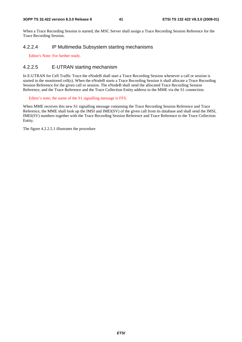When a Trace Recording Session is started, the MSC Server shall assign a Trace Recording Session Reference for the Trace Recording Session.

# 4.2.2.4 IP Multimedia Subsystem starting mechanisms

Editor's Note: For further study.

### 4.2.2.5 E-UTRAN starting mechanism

In E-UTRAN for Cell Traffic Trace the eNodeB shall start a Trace Recording Session whenever a call or session is started in the monitored cell(s). When the eNodeB starts a Trace Recording Session it shall allocate a Trace Recording Session Reference for the given call or session. The eNodeB shall send the allocated Trace Recording Session Reference, and the Trace Reference and the Trace Collection Entity address to the MME via the S1 connection.

Editor's note; the name of the S1 signalling message is FFS.

When MME receives this new S1 signalling message containing the Trace Recording Session Reference and Trace Reference, the MME shall look up the IMSI and IMEI(SV) of the given call from its database and shall send the IMSI, IMEI(SV) numbers together with the Trace Recording Session Reference and Trace Reference to the Trace Collection Entity.

The figure 4.2.2.5.1 illustrates the procedure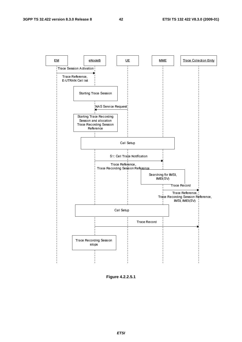

**Figure 4.2.2.5.1** 

*ETSI*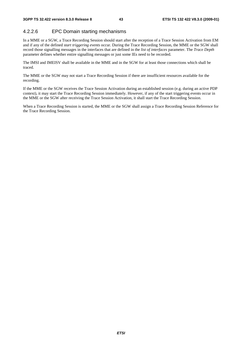# 4.2.2.6 EPC Domain starting mechanisms

In a MME or a SGW, a Trace Recording Session should start after the reception of a Trace Session Activation from EM and if any of the defined *start triggering events* occur. During the Trace Recording Session, the MME or the SGW shall record those signalling messages in the interfaces that are defined in the *list of interfaces* parameter. The *Trace Depth* parameter defines whether entire signalling messages or just some IEs need to be recorded.

The IMSI and IMEISV shall be available in the MME and in the SGW for at least those connections which shall be traced.

The MME or the SGW may not start a Trace Recording Session if there are insufficient resources available for the recording.

If the MME or the SGW receives the Trace Session Activation during an established session (e.g. during an active PDP context), it may start the Trace Recording Session immediately. However, if any of the start triggering events occur in the MME or the SGW after receiving the Trace Session Activation, it shall start the Trace Recording Session.

When a Trace Recording Session is started, the MME or the SGW shall assign a Trace Recording Session Reference for the Trace Recording Session.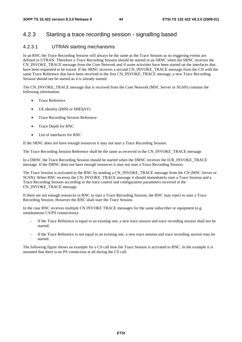# 4.2.3 Starting a trace recording session - signalling based

## 4.2.3.1 UTRAN starting mechanisms

In an RNC the Trace Recording Session will always be the same as the Trace Session as no triggering events are defined in UTRAN. Therefore a Trace Recording Session should be started in an SRNC when the SRNC receives the CN\_INVOKE\_TRACE message from the Core Network and if some activities have been started on the interfaces that have been requested to be traced. If the SRNC receives a second CN\_INVOKE\_TRACE message from the CN with the same Trace Reference that have been received in the first CN\_INVOKE\_TRACE message, a new Trace Recording Session should not be started as it is already started.

The CN\_INVOKE\_TRACE message that is received from the Core Network (MSC Server or SGSN) contains the following information:

- Trace Reference
- UE identity (IMSI or IMEI(SV)
- Trace Recording Session Reference
- Trace Depth for RNC
- List of interfaces for RNC

If the SRNC does not have enough resources it may not start a Trace Recording Session.

The Trace Recording Session Reference shall be the same as received in the CN\_INVOKE\_TRACE message.

In a DRNC the Trace Recording Session should be started when the DRNC receives the IUR\_INVOKE\_TRACE message. If the DRNC does not have enough resources it may not start a Trace Recording Session.

The Trace Session is activated to the RNC by sending a CN\_INVOKE\_TRACE message from the CN (MSC Server or SGSN). When RNC receives the CN\_INVOKE\_TRACE message it should immediately start a Trace Session and a Trace Recording Session according to the trace control and configuration parameters received in the CN\_INVOKE\_TRACE message.

If there are not enough resources in RNC to start a Trace Recording Session, the RNC may reject to start a Trace Recording Session. However the RNC shall start the Trace Session.

In the case RNC receives multiple CN INVOKE TRACE messages for the same subscriber or equipment (e.g. simultaneous CS/PS connections):

- If the Trace Reference is equal to an existing one, a new trace session and trace recording session shall not be started;
- If the Trace Reference is not equal to an existing one, a new trace session and trace recording session may be started.

The following figure shows an example for a CS call how the Trace Session is activated to RNC. In the example it is assumed that there is no PS connection at all during the CS call.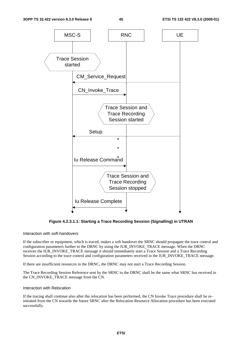

**Figure 4.2.3.1.1: Starting a Trace Recording Session (Signalling) in UTRAN** 

#### Interaction with soft-handovers

If the subscriber or equipment, which is traced, makes a soft handover the SRNC should propagate the trace control and configuration parameters further to the DRNC by using the IUR\_INVOKE\_TRACE message. When the DRNC receives the IUR\_INVOKE\_TRACE message it should immediately start a Trace Session and a Trace Recording Session according to the trace control and configuration parameters received in the IUR\_INVOKE\_TRACE message.

If there are insufficient resources in the DRNC, the DRNC may not start a Trace Recording Session.

The Trace Recording Session Reference sent by the SRNC to the DRNC shall be the same what SRNC has received in the CN\_INVOKE\_TRACE message from the CN.

#### Interaction with Relocation

If the tracing shall continue also after the relocation has been performed, the CN Invoke Trace procedure shall be reinitiated from the CN towards the future SRNC after the Relocation Resource Allocation procedure has been executed successfully.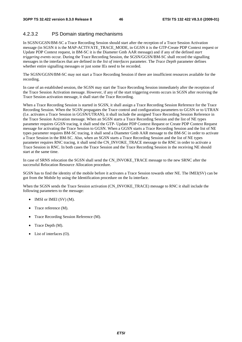# 4.2.3.2 PS Domain starting mechanisms

In SGSN/GGSN/BM-SC a Trace Recording Session should start after the reception of a Trace Session Activation message (in SGSN it is the MAP-ACTIVATE\_TRACE\_MODE, in GGSN it is the GTP-Create PDP Context request or Update PDP Context request, in BM-SC it is the Diameter Gmb AAR message) and if any of the defined *start triggering events* occur. During the Trace Recording Session, the SGSN/GGSN/BM-SC shall record the signalling messages in the interfaces that are defined in the *list of interfaces* parameter. The *Trace Depth* parameter defines whether entire signalling messages or just some IEs need to be recorded.

The SGSN/GGSN/BM-SC may not start a Trace Recording Session if there are insufficient resources available for the recording.

In case of an established session, the SGSN may start the Trace Recording Session immediately after the reception of the Trace Session Activation message. However, if any of the start triggering events occurs in SGSN after receiving the Trace Session activation message, it shall start the Trace Recording.

When a Trace Recording Session is started in SGSN, it shall assign a Trace Recording Session Reference for the Trace Recording Session. When the SGSN propagates the Trace control and configuration parameters to GGSN or to UTRAN (I.e. activates a Trace Session in GGSN/UTRAN), it shall include the assigned Trace Recording Session Reference in the Trace Session Activation message. When an SGSN starts a Trace Recording Session and the list of NE types parameter requires GGSN tracing, it shall send the GTP- Update PDP Context Request or Create PDP Context Request message for activating the Trace Session to GGSN. When a GGSN starts a Trace Recording Session and the list of NE types parameter requires BM-SC tracing, it shall send a Diameter Gmb AAR message to the BM-SC in order to activate a Trace Session in the BM-SC. Also, when an SGSN starts a Trace Recording Session and the list of NE types parameter requires RNC tracing, it shall send the CN\_INVOKE\_TRACE message to the RNC in order to activate a Trace Session in RNC. In both cases the Trace Session and the Trace Recording Session in the receiving NE should start at the same time.

In case of SRNS relocation the SGSN shall send the CN\_INVOKE\_TRACE message to the new SRNC after the successful Relocation Resource Allocation procedure.

SGSN has to find the identity of the mobile before it activates a Trace Session towards other NE. The IMEI(SV) can be got from the Mobile by using the Identification procedure on the Iu interface.

When the SGSN sends the Trace Session activation (CN\_INVOKE\_TRACE) message to RNC it shall include the following parameters to the message:

- IMSI or IMEI (SV) (M).
- Trace reference (M).
- Trace Recording Session Reference (M).
- Trace Depth (M).
- List of interfaces (O).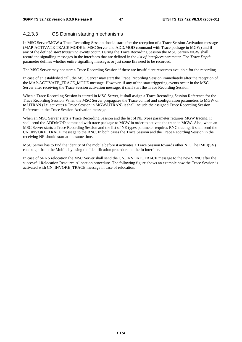# 4.2.3.3 CS Domain starting mechanisms

In MSC Server/MGW a Trace Recording Session should start after the reception of a Trace Session Activation message (MAP-ACTIVATE TRACE MODE in MSC Server and ADD/MOD command with Trace package in MGW) and if any of the defined *start triggering events* occur. During the Trace Recording Session the MSC Server/MGW shall record the signalling messages in the interfaces that are defined in the *list of interfaces* parameter. The *Trace Depth* parameter defines whether entire signalling messages or just some IEs need to be recorded.

The MSC Server may not start a Trace Recording Session if there are insufficient resources available for the recording.

In case of an established call, the MSC Server may start the Trace Recording Session immediately after the reception of the MAP-ACTIVATE\_TRACE\_MODE message. However, if any of the start triggering events occur in the MSC Server after receiving the Trace Session activation message, it shall start the Trace Recording Session.

When a Trace Recording Session is started in MSC Server, it shall assign a Trace Recording Session Reference for the Trace Recording Session. When the MSC Server propagates the Trace control and configuration parameters to MGW or to UTRAN (I.e. activates a Trace Session in MGW/UTRAN) it shall include the assigned Trace Recording Session Reference in the Trace Session Activation message.

When an MSC Server starts a Trace Recording Session and the list of NE types parameter requires MGW tracing, it shall send the ADD/MOD command with trace package to MGW in order to activate the trace in MGW. Also, when an MSC Server starts a Trace Recording Session and the list of NE types parameter requires RNC tracing, it shall send the CN\_INVOKE\_TRACE message to the RNC. In both cases the Trace Session and the Trace Recording Session in the receiving NE should start at the same time.

MSC Server has to find the identity of the mobile before it activates a Trace Session towards other NE. The IMEI(SV) can be got from the Mobile by using the Identification procedure on the Iu interface.

In case of SRNS relocation the MSC Server shall send the CN\_INVOKE\_TRACE message to the new SRNC after the successful Relocation Resource Allocation procedure. The following figure shows an example how the Trace Session is activated with CN\_INVOKE\_TRACE message in case of relocation.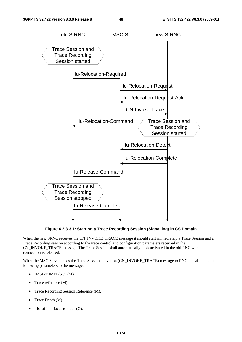

**Figure 4.2.3.3.1: Starting a Trace Recording Session (Signalling) in CS Domain** 

When the new SRNC receives the CN\_INVOKE\_TRACE message it should start immediately a Trace Session and a Trace Recording session according to the trace control and configuration parameters received in the CN\_INVOKE\_TRACE message. The Trace Session shall automatically be deactivated in the old RNC when the Iu connection is released.

When the MSC Server sends the Trace Session activation (CN\_INVOKE\_TRACE) message to RNC it shall include the following parameters to the message:

- IMSI or IMEI (SV) (M).
- Trace reference (M).
- Trace Recording Session Reference (M).
- Trace Depth (M).
- List of interfaces to trace (O).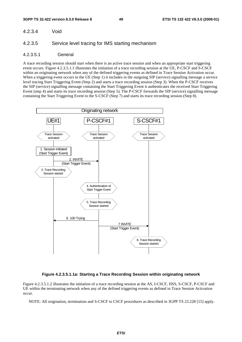#### 4.2.3.4 Void

#### 4.2.3.5 Service level tracing for IMS starting mechanism

#### 4.2.3.5.1 General

A trace recording session should start when there is an active trace session and when an appropriate start triggering event occurs. Figure 4.2.3.5.1.1 illustrates the initiation of a trace recording session at the UE, P-CSCF and S-CSCF within an originating network when any of the defined triggering events as defined in Trace Session Activation occur. When a triggering event occurs in the UE (Step 1) it includes in the outgoing SIP (service) signalling message a service level tracing Start Triggering Event (Step 2) and starts a trace recording session (Step 3). When the P-CSCF receives the SIP (service) signalling message containing the Start Triggering Event it authenticates the received Start Triggering Event (step 4) and starts its trace recording session (Step 5). The P-CSCF forwards the SIP (service) signalling message containing the Start Triggering Event to the S-CSCF (Step 7) and starts its trace recording session (Step 8).



## **Figure 4.2.3.5.1.1a: Starting a Trace Recording Session within originating network**

Figure 4.2.3.5.1.2 illustrates the initiation of a trace recording session at the AS, I-CSCF, HSS, S-CSCF, P-CSCF and UE within the terminating network when any of the defined triggering events as defined in Trace Session Activation occur.

NOTE: All origination, termination and S-CSCF to CSCF procedures as described in 3GPP TS 23.228 [15] apply.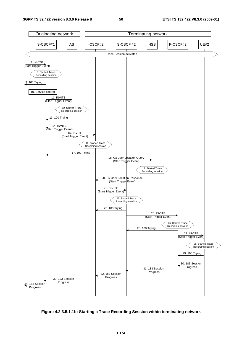

**Figure 4.2.3.5.1.1b: Starting a Trace Recording Session within terminating network**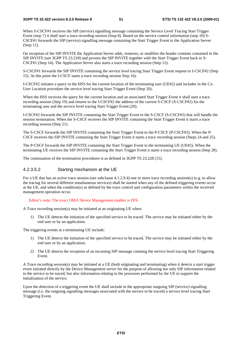When S-CSCF#1 receives the SIP (service) signalling message containing the Service Level Tracing Start Trigger Event (step 7) it shall start a trace recording session (Step 8). Based on the service control information (step 10) S-CSCF#1 forwards the SIP (service) signalling message containing the Start Trigger Event to the Application Server (Step 11).

On reception of the SIP INVITE the Application Server adds, removes, or modifies the header contents contained in the SIP INVITE (see 3GPP TS 23.218) and proxies the SIP INVITE together with the Start Trigger Event back to S-CSCF#1 (Step 14). The Application Server also starts a trace recording session (Step 12).

S-CSCF#1 forwards the SIP INVITE containing the service level tracing Start Trigger Event request to I-CSCF#2 (Step 15). At this point the I-CSCF starts a trace recording session Step 16).

I-CSCF#2 initiates a query to the HSS for the current location of the terminating user (UE#2) and includes in the Cx-User Location procedure the service level tracing Start Trigger Event (Step 20).

When the HSS receives the query for the current location and an associated Start Trigger Event it shall start a trace recording session (Step 19) and returns to the I-CSCF#2 the address of the current S-CSCF (S-CSCF#2) for the terminating user and the service level tracing Start Trigger Event (20).

I-CSCF#2 forwards the SIP INVITE containing the Start Trigger Event to the S-CSCF (S-CSCF#2) that will handle the session termination. When the S-CSCF receives the SIP INVITE containing the Start Trigger Event it starts a trace recording session (Step 21).

The S-CSCF forwards the SIP INVITE containing the Start Trigger Event to the P-CSCF (P-CSCF#2). When the P-CSCF receives the SIP INVITE containing the Start Trigger Event it starts a trace recording session (Steps 24 and 25).

The P-CSCF forwards the SIP INVITE containing the Start Trigger Event to the terminating UE (UE#2). When the terminating UE receives the SIP INVITE containing the Start Trigger Event it starts a trace recording session (Step 28).

The continuation of the termination procedures is as defined in 3GPP TS 23.228 [15].

#### 4.2.3.5.2 Starting mechanism at the UE

For a UE that has an active trace session (see subclause 4.1.2.9.4) one or more trace recording session(s) (e.g. to allow the tracing for several different simultaneous services) shall be started when any of the defined triggering events occur at the UE, and when the condition(s) as defined by the trace control and configuration parameters within the received management operation occur.

#### Editor's note: The exact OMA Device Management enabler is FFS.

A Trace recording session(s) may be initiated at an originating UE when:

1) The UE detects the initiation of the specified service to be traced. The service may be initiated either by the end user or by an application.

The triggering events at a terminating UE include:

- 1) The UE detects the initiation of the specified service to be traced. The service may be initiated either by the end user or by an application.
- 2) The UE detects the reception of an incoming SIP message containg the service level tracing Start Triggering Event.

A Trace recording session(s) may be initiated at a UE (both originating and terminating) when it detects a start trigger event initiated directly by the Device Management server for the purpose of allowing not only SIP information related to the service to be traced, but also information relating to the processes performed by the UE to support the initialization of the service.

Upon the detection of a triggering event the UE shall include in the appropriate outgoing SIP (service) signalling message (i.e. the outgoing signalling messages associated with the service to be traced) a service level tracing Start Triggering Event.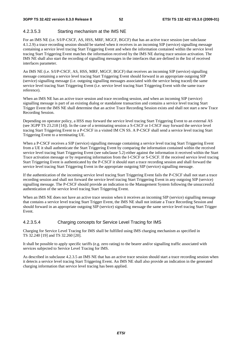#### 4.2.3.5.3 Starting mechanism at the IMS NE

For an IMS NE (i.e. S/I/P-CSCF, AS, HSS, MRF, MGCF, BGCF) that has an active trace session (see subclause 4.1.2.9) a trace recording session should be started when it receives in an incoming SIP (service) signalling message containing a service level tracing Start Triggering Event and when the information contained within the service level tracing Start Triggering Event matches the information received by the IMS NE during trace session activation. The IMS NE shall also start the recording of signalling messages in the interfaces that are defined in the list of received interfaces parameter.

An IMS NE (i.e. S/I/P-CSCF, AS, HSS, MRF, MGCF, BGCF) that receives an incoming SIP (service) signalling message containing a service level tracing Start Triggering Event should forward in an appropriate outgoing SIP (service) signalling message (i.e. outgoing signalling messages associated with the service being traced) the same service level tracing Start Triggering Event (i.e. service level tracing Start Triggering Event with the same trace reference).

When an IMS NE has an active trace session and trace recording session, and when an incoming SIP (service) signalling message is part of an existing dialog or standalone transaction and contains a service level tracing Start Trigger Event the IMS NE shall determine that an active Trace Recording Session exists and shall not start a new Trace Recording Session.

Depending on operator policy, a HSS may forward the service level tracing Start Triggering Event to an external AS (see 3GPP TS 23.218 [14]). In the case of a terminating session a S-CSCF or I-CSCF may forward the service level tracing Start Triggering Event to a P-CSCF in a visited IM CN SS. A P-CSCF shall send a service level tracing Start Triggering Event to a terminating UE.

When a P-CSCF receives a SIP (service) signalling message containing a service level tracing Start Triggering Event from a UE it shall authenticate the Start Triggering Event by comparing the information contained within the received service level tracing Start Triggering Event (see subclause 5.2) either against the information it received within the Start Trace activation message or by requesting information from the I-CSCF or S-CSCF. If the received service level tracing Start Triggering Event is authenticated by the P-CSCF it should start a trace recording session and shall forward the service level tracing Start Triggering Event in the appropriate outgoing SIP (service) signalling message.

If the authentication of the incoming service level tracing Start Triggering Event fails the P-CSCF shall not start a trace recording session and shall not forward the service level tracing Start Triggering Event in any outgoing SIP (service) signalling message. The P-CSCF should provide an indication to the Management System following the unsuccessful authentication of the service level tracing Start Triggering Event.

When an IMS NE does not have an active trace session when it receives an incoming SIP (service) signalling message that contains a service level tracing Start Trigger Event, the IMS NE shall not initiate a Trace Recording Session and should forward in an appropriate outgoing SIP (service) signalling message the same service level tracing Start Trigger Event.

#### 4.2.3.5.4 Charging concepts for Service Level Tracing for IMS

Charging for Service Level Tracing for IMS shall be fulfilled using IMS charging mechanism as specified in TS 32.240 [19] and TS 32.260 [20].

It shall be possible to apply specific tariffs (e.g. zero rating) to the bearer and/or signalling traffic associated with services subjected to Service Level Tracing for IMS.

As described in subclause 4.2.3.5 an IMS NE that has an active trace session should start a trace recording session when it detects a service level tracing Start Triggering Event. An IMS NE shall also provide an indication in the generated charging information that service level tracing has been applied.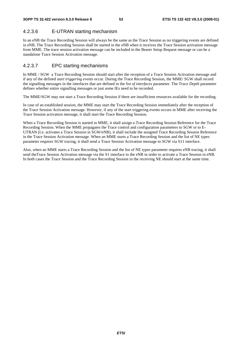# 4.2.3.6 E-UTRAN starting mechanism

In an eNB the Trace Recording Session will always be the same as the Trace Session as no triggering events are defined in eNB. The Trace Recording Session shall be started in the eNB when it receives the Trace Session activation message from MME. The trace session activation message can be included in the Bearer Setup Request message or can be a standalone Trace Session Activation message.

# 4.2.3.7 EPC starting mechanisms

In MME / SGW a Trace Recording Session should start after the reception of a Trace Session Activation message and if any of the defined *start triggering events* occur. During the Trace Recording Session, the MME/ SGW shall record the signalling messages in the interfaces that are defined in the *list of interfaces* parameter. The *Trace Depth* parameter defines whether entire signalling messages or just some IEs need to be recorded.

The MME/SGW may not start a Trace Recording Session if there are insufficient resources available for the recording.

In case of an established session, the MME may start the Trace Recording Session immediately after the reception of the Trace Session Activation message. However, if any of the start triggering events occurs in MME after receiving the Trace Session activation message, it shall start the Trace Recording Session.

When a Trace Recording Session is started in MME, it shall assign a Trace Recording Session Reference for the Trace Recording Session. When the MME propagates the Trace control and configuration parameters to SGW or to E-UTRAN (I.e. activates a Trace Session in SGW/eNB), it shall include the assigned Trace Recording Session Reference in the Trace Session Activation message. When an MME starts a Trace Recording Session and the list of NE types parameter requires SGW tracing, it shall send a Trace Session Activation message to SGW via S11 interface.

Also, when an MME starts a Trace Recording Session and the list of NE types parameter requires eNB tracing, it shall send theTrace Session Activation message via the S1 interface to the eNB in order to activate a Trace Session in eNB. In both cases the Trace Session and the Trace Recording Session in the receiving NE should start at the same time.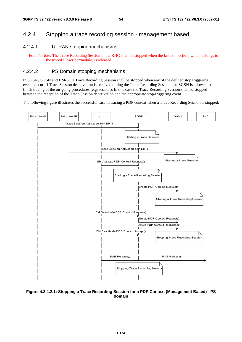# 4.2.4 Stopping a trace recording session - management based

# 4.2.4.1 UTRAN stopping mechanisms

Editor's Note: The Trace Recording Session in the RNC shall be stopped when the last connection, which belongs to the traced subscriber/mobile, is released.

## 4.2.4.2 PS Domain stopping mechanisms

In SGSN, GGSN and BM-SC a Trace Recording Session shall be stopped when any of the defined stop triggering events occur. If Trace Session deactivation is received during the Trace Recording Session, the SGSN is allowed to finish tracing of the on-going procedures (e.g. session). In this case the Trace Recording Session shall be stopped between the reception of the Trace Session deactivation and the appropriate stop-triggering event.

The following figure illustrates the successful case in tracing a PDP context when a Trace Recording Session is stopped.



**Figure 4.2.4.2.1: Stopping a Trace Recording Session for a PDP Context (Management Based) - PS domain**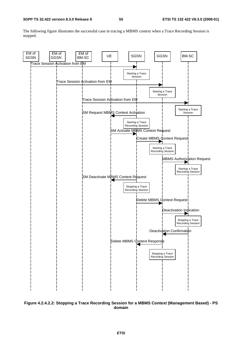The following figure illustrates the successful case in tracing a MBMS context when a Trace Recording Session is stopped.



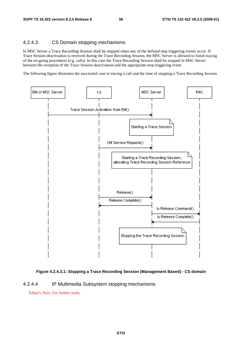## 4.2.4.3 CS Domain stopping mechanisms

In MSC Server a Trace Recording Session shall be stopped when any of the defined stop triggering events occur. If Trace Session deactivation is received during the Trace Recording Session, the MSC Server is allowed to finish tracing of the on-going procedures (e.g. calls). In this case the Trace Recording Session shall be stopped in MSC Server between the reception of the Trace Session deactivation and the appropriate stop-triggering event.

The following figure illustrates the successful case in tracing a call and the time of stopping a Trace Recording Session.



#### **Figure 4.2.4.3.1: Stopping a Trace Recording Session (Management Based) - CS domain**

#### 4.2.4.4 IP Multimedia Subsystem stopping mechanisms

Editor's Note: For further study.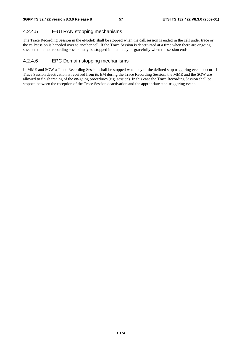# 4.2.4.5 E-UTRAN stopping mechanisms

The Trace Recording Session in the eNodeB shall be stopped when the call/session is ended in the cell under trace or the call/session is haneded over to another cell. If the Trace Session is deactivated at a time when there are ongoing sessions the trace recording session may be stopped immediately or gracefully when the session ends.

# 4.2.4.6 EPC Domain stopping mechanisms

In MME and SGW a Trace Recording Session shall be stopped when any of the defined stop triggering events occur. If Trace Session deactivation is received from its EM during the Trace Recording Session, the MME and the SGW are allowed to finish tracing of the on-going procedures (e.g. session). In this case the Trace Recording Session shall be stopped between the reception of the Trace Session deactivation and the appropriate stop-triggering event.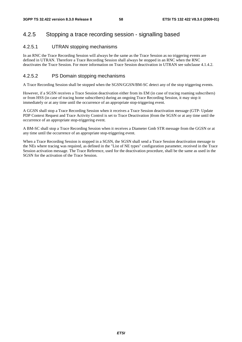# 4.2.5 Stopping a trace recording session - signalling based

## 4.2.5.1 UTRAN stopping mechanisms

In an RNC the Trace Recording Session will always be the same as the Trace Session as no triggering events are defined in UTRAN. Therefore a Trace Recording Session shall always be stopped in an RNC when the RNC deactivates the Trace Session. For more information on Trace Session deactivation in UTRAN see subclause 4.1.4.2.

## 4.2.5.2 PS Domain stopping mechanisms

A Trace Recording Session shall be stopped when the SGSN/GGSN/BM-SC detect any of the stop triggering events.

However, if a SGSN receives a Trace Session deactivation either from its EM (in case of tracing roaming subscribers) or from HSS (in case of tracing home subscribers) during an ongoing Trace Recording Session, it may stop it immediately or at any time until the occurrence of an appropriate stop-triggering event.

A GGSN shall stop a Trace Recording Session when it receives a Trace Session deactivation message (GTP- Update PDP Context Request and Trace Activity Control is set to Trace Deactivation )from the SGSN or at any time until the occurrence of an appropriate stop-triggering event.

A BM-SC shall stop a Trace Recording Session when it receives a Diameter Gmb STR message from the GGSN or at any time until the occurrence of an appropriate stop-triggering event.

When a Trace Recording Session is stopped in a SGSN, the SGSN shall send a Trace Session deactivation message to the NEs where tracing was required, as defined in the "List of NE types" configuration parameter, received in the Trace Session activation message. The Trace Reference, used for the deactivation procedure, shall be the same as used in the SGSN for the activation of the Trace Session.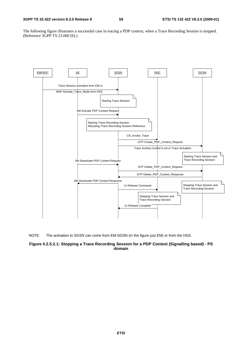The following figure illustrates a successful case in tracing a PDP context, when a Trace Recording Session is stopped. (Reference 3GPP TS 23.060 [6].)





#### **Figure 4.2.5.2.1: Stopping a Trace Recording Session for a PDP Context (Signalling based) - PS domain**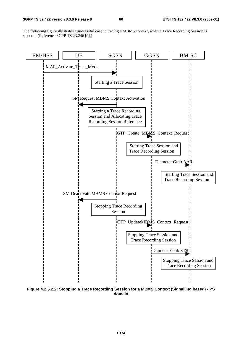The following figure illustrates a successful case in tracing a MBMS context, when a Trace Recording Session is stopped. (Reference 3GPP TS 23.246 [9].)



**Figure 4.2.5.2.2: Stopping a Trace Recording Session for a MBMS Context (Signalling based) - PS domain**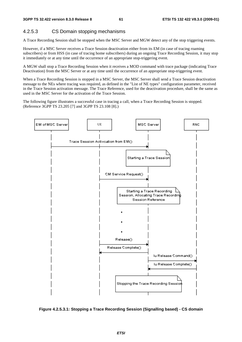# 4.2.5.3 CS Domain stopping mechanisms

A Trace Recording Session shall be stopped when the MSC Server and MGW detect any of the stop triggering events.

However, if a MSC Server receives a Trace Session deactivation either from its EM (in case of tracing roaming subscribers) or from HSS (in case of tracing home subscribers) during an ongoing Trace Recording Session, it may stop it immediately or at any time until the occurrence of an appropriate stop-triggering event.

A MGW shall stop a Trace Recording Session when it receives a MOD command with trace package (indicating Trace Deactivation) from the MSC Server or at any time until the occurrence of an appropriate stop-triggering event.

When a Trace Recording Session is stopped in a MSC Server, the MSC Server shall send a Trace Session deactivation message to the NEs where tracing was required, as defined in the "List of NE types" configuration parameter, received in the Trace Session activation message. The Trace Reference, used for the deactivation procedure, shall be the same as used in the MSC Server for the activation of the Trace Session.

The following figure illustrates a successful case in tracing a call, when a Trace Recording Session is stopped. (Reference 3GPP TS 23.205 [7] and 3GPP TS 23.108 [8].)



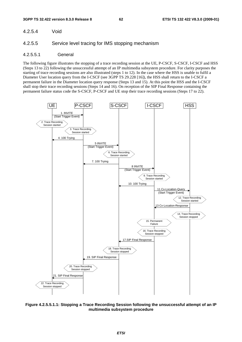4.2.5.4 Void

#### 4.2.5.5 Service level tracing for IMS stopping mechanism

#### 4.2.5.5.1 General

The following figure illustrates the stopping of a trace recording session at the UE, P-CSCF, S-CSCF, I-CSCF and HSS (Steps 13 to 22) following the unsuccessful attempt of an IP multimedia subsystem procedure. For clarity purposes the starting of trace recording sessions are also illustrated (steps 1 to 12). In the case where the HSS is unable to fulfil a Diameter User location query from the I-CSCF (see 3GPP TS 29.228 [16]), the HSS shall return to the I-CSCF a permanent failure in the Diameter location query response (Steps 13 and 15). At this point the HSS and the I-CSCF shall stop their trace recording sessions (Steps 14 and 16). On reception of the SIP Final Response containing the permanent failure status code the S-CSCF, P-CSCF and UE stop their trace recording sessions (Steps 17 to 22).



**Figure 4.2.5.5.1.1: Stopping a Trace Recording Session following the unsuccessful attempt of an IP multimedia subsystem procedure**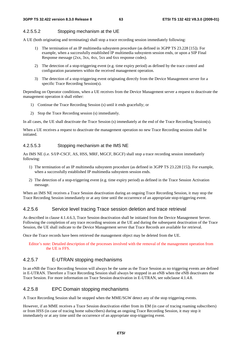#### 4.2.5.5.2 Stopping mechanism at the UE

A UE (both originating and terminating) shall stop a trace recording session immediately following:

- 1) The termination of an IP multimedia subsystem procedure (as defined in 3GPP TS 23.228 [15]). For example, when a successfully established IP multimedia subsystem session ends, or upon a SIP Final Response message (2xx, 3xx, 4xx, 5xx and 6xx response codes).
- 2) The detection of a stop-triggering event (e.g. time expiry period) as defined by the trace control and configuration parameters within the received management operation.
- 3) The detection of a stop-triggering event originating directly from the Device Management server for a specific Trace Recording Session(s).

Depending on Operator conditions, when a UE receives from the Device Management server a request to deactivate the management operation it shall either:

- 1) Continue the Trace Recording Session (s) until it ends gracefully; or
- 2) Stop the Trace Recording session (s) immediately.

In all cases, the UE shall deactivate the Trace Session (s) immediately at the end of the Trace Recording Session(s).

When a UE receives a request to deactivate the management operation no new Trace Recording sessions shall be initiated.

#### 4.2.5.5.3 Stopping mechanism at the IMS NE

An IMS NE (i.e. S/I/P-CSCF, AS, HSS, MRF, MGCF, BGCF) shall stop a trace recording session immediately following:

- 1) The termination of an IP multimedia subsystem procedure (as defined in 3GPP TS 23.228 [15]). For example, when a successfully established IP multimedia subsystem session ends.
- 2) The detection of a stop-triggering event (e.g. time expiry period) as defined in the Trace Session Activation message.

When an IMS NE receives a Trace Session deactivation during an ongoing Trace Recording Session, it may stop the Trace Recording Session immediately or at any time until the occurrence of an appropriate stop-triggering event.

#### 4.2.5.6 Service level tracing Trace session deletion and trace retrieval

As described in clause 4.1.4.6.3, Trace Session deactivation shall be initiated from the Device Management Server. Following the completion of any trace recording sessions at the UE and during the subsequent deactivation of the Trace Session, the UE shall indicate to the Device Management server that Trace Records are available for retrieval.

Once the Trace records have been retrieved the management object may be deleted from the UE.

Editor's note: Detailed description of the processes involved with the removal of the management operation from the UE is FFS.

# 4.2.5.7 E-UTRAN stopping mechanisms

In an eNB the Trace Recording Session will always be the same as the Trace Session as no triggering events are defined in E-UTRAN. Therefore a Trace Recording Session shall always be stopped in an eNB when the eNB deactivates the Trace Session. For more information on Trace Session deactivation in E-UTRAN, see subclause 4.1.4.8.

# 4.2.5.8 EPC Domain stopping mechanisms

A Trace Recording Session shall be stopped when the MME/SGW detect any of the stop triggering events.

However, if an MME receives a Trace Session deactivation either from its EM (in case of tracing roaming subscribers) or from HSS (in case of tracing home subscribers) during an ongoing Trace Recording Session, it may stop it immediately or at any time until the occurrence of an appropriate stop-triggering event.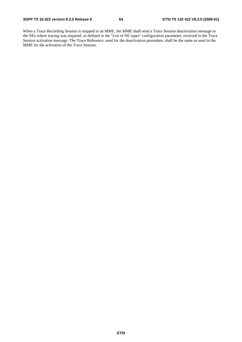When a Trace Recording Session is stopped in an MME, the MME shall send a Trace Session deactivation message to the NEs where tracing was required, as defined in the "List of NE types" configuration parameter, received in the Trace Session activation message. The Trace Reference, used for the deactivation procedure, shall be the same as used in the MME for the activation of the Trace Session.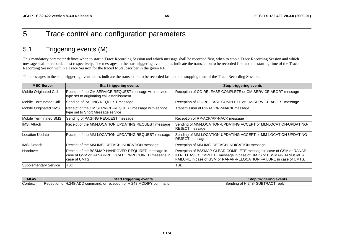# 5 Trace control and configuration parameters

# 5.1 Triggering events (M)

This mandatory parameter defines when to start a Trace Recording Session and which message shall be recorded first, when to stop a Trace Recording Session and which message shall be recorded last respectively. The messages in the start triggering event tables indicate the transaction to be recorded first and the starting time of the Trace Recording Session within a Trace Session for the traced MS/subscriber in the given NE.

The messages in the stop triggering event tables indicate the transaction to be recorded last and the stopping time of the Trace Recording Session.

| <b>MSC Server</b>      | <b>Start triggering events</b>                                                                                            | <b>Stop triggering events</b>                                                                                                                                                                                |
|------------------------|---------------------------------------------------------------------------------------------------------------------------|--------------------------------------------------------------------------------------------------------------------------------------------------------------------------------------------------------------|
| Mobile Originated Call | Receipt of the CM SERVICE-REQUEST message with service<br>type set to originating call establishment                      | Reception of CC-RELEASE COMPLETE or CM-SERVICE ABORT message                                                                                                                                                 |
| Mobile Terminated Call | Sending of PAGING REQUEST message                                                                                         | Reception of CC-RELEASE COMPLETE or CM-SERVICE ABORT message                                                                                                                                                 |
| Mobile Originated SMS  | Receipt of the CM SERVICE-REQUEST message with service<br>type set to Short Message service                               | Transmission of RP-ACK/RP-NACK message                                                                                                                                                                       |
| Mobile Terminated SMS  | Sending of PAGING REQUEST message                                                                                         | Reception of RP-ACK/RP-NACK message                                                                                                                                                                          |
| <b>IIMSI Attach</b>    | Receipt of the MM-LOCATION UPDATING REQUEST message                                                                       | Sending of MM-LOCATION-UPDATING ACCEPT or MM-LOCATION-UPDATING-<br>REJECT message                                                                                                                            |
| Location Update        | Receipt of the MM-LOCATION UPDATING REQUEST message                                                                       | Sending of MM-LOCATION-UPDATING ACCEPT or MM-LOCATION-UPDATING-<br><b>REJECT</b> message                                                                                                                     |
| IIMSI Detach           | Receipt of the MM-IMSI DETACH INDICATION message                                                                          | Reception of MM-IMSI DETACH INDICATION message                                                                                                                                                               |
| Handover               | Receipt of the BSSMAP-HANDOVER-REQUIRED message in<br>case of GSM or RANAP-RELOCATION-REQUIRED message in<br>case of UMTS | Reception of BSSMAP-CLEAR COMPLETE message in case of GSM or RANAP-<br>IU RELEASE COMPLETE message in case of UMTS or BSSMAP-HANDOVER<br>FAILURE in case of GSM or RANAP-RELOCATION FAILURE in case of UMTS. |
| Supplementary Service  | TBD                                                                                                                       | TBD                                                                                                                                                                                                          |

| <b>MGW</b> | Star<br>'t triggering events                                                          | Stop triggering events                      |
|------------|---------------------------------------------------------------------------------------|---------------------------------------------|
| Context    | .u. or reception of H.248 MODIF Y<br>1.248-ADD command.<br>command<br>IReception of H | SUBTRACT<br>.248-<br>reply<br>⊥Sending of H |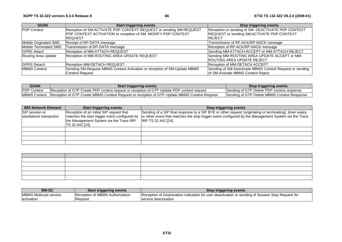| <b>SGSN</b>           | <b>Start triggering events</b>                                            | <b>Stop triggering events</b>                            |
|-----------------------|---------------------------------------------------------------------------|----------------------------------------------------------|
| <b>PDP Context</b>    | Reception of SM-ACTIVATE PDP CONTEXT REQUEST or sending SM-REQUEST        | Reception or sending of SM- DEACTIVATE PDP CONTEXT       |
|                       | PDP CONTEXT ACTIVATION or reception of SM-MODIFY PDP CONTEXT              | REQUEST or sending SM-ACTIVATE PDP CONTEXT               |
|                       | <b>IREQUEST</b>                                                           | <b>IREJECT</b>                                           |
| Mobile Originated SMS | Receipt of RP-DATA message                                                | Transmission of RP-ACK/RP-NACK message                   |
| Mobile Terminated SMS | Transmission of RP-DATA message                                           | Reception of RP-ACK/RP-NACK message                      |
| <b>GPRS Attach</b>    | Reception of MM-ATTACH-REQUEST                                            | Sending MM-ATTACH-ACCEPT or MM-ATTACH-REJECT             |
| Routing Area Update   | Reception of MM-ROUTING AREA UPDATE REQUEST                               | Sending MM-ROUTING AREA UPDATE ACCEPT or MM-             |
|                       |                                                                           | <b>ROUTING AREA UPDATE REJECT</b>                        |
| <b>GPRS</b> Detach    | <b>Reception MM-DETACH REQUEST</b>                                        | Reception of MM-DETACH ACCEPT                            |
| <b>IMBMS Context</b>  | Sending SM-Request MBMS Context Activation or reception of SM-Update MBMS | Sending of SM-Deactivate MBMS Context Request or sending |
|                       | <b>Context Request</b>                                                    | of SM-Activate MBMS Context Reject                       |

| <b>GGSN</b>          | <b>Start triggering events</b>                                                               | <b>Stop triggering events</b>               |
|----------------------|----------------------------------------------------------------------------------------------|---------------------------------------------|
| <b>PDP Context</b>   | Reception of GTP Create PDP context request or reception of GTP Update PDP context request   | Sending of GTP Delete PDP context response  |
| <b>IMBMS Context</b> | Reception of GTP Create MBMS Context Request or reception of GTP Update MBMS Context Request | Sending of GTP Delete MBMS Context Response |

| <b>IMS Network Element</b> | <b>Start triggering events</b>                                                                             | <b>Stop triggering events</b>                                                                                                      |
|----------------------------|------------------------------------------------------------------------------------------------------------|------------------------------------------------------------------------------------------------------------------------------------|
| SIP session or             | Reception of an initial SIP request that                                                                   | Sending of a SIP final response to a SIP BYE or other request (originating or terminating), timer expiry                           |
| standalone transaction     | matches the start trigger event configured by<br>the Management System via the Trace IRP<br>TS 32.442 [24] | or other event that matches the stop trigger event configured by the Management System via the Trace<br><b>IRP TS 32.442 [24].</b> |
|                            |                                                                                                            |                                                                                                                                    |
|                            |                                                                                                            |                                                                                                                                    |
|                            |                                                                                                            |                                                                                                                                    |
|                            |                                                                                                            |                                                                                                                                    |

|  | <u> El segundo de la contrada de la contrada de la contrada de la contrada de la contrada de la contrada de la c</u><br>$\overline{a}$ , and the contract of the contract of the contract of the contract of the contract of the contract of the contract of the contract of the contract of the contract of the contract of the contract of the contract o |
|--|-------------------------------------------------------------------------------------------------------------------------------------------------------------------------------------------------------------------------------------------------------------------------------------------------------------------------------------------------------------|
|  |                                                                                                                                                                                                                                                                                                                                                             |
|  |                                                                                                                                                                                                                                                                                                                                                             |
|  |                                                                                                                                                                                                                                                                                                                                                             |
|  |                                                                                                                                                                                                                                                                                                                                                             |
|  |                                                                                                                                                                                                                                                                                                                                                             |

| <b>BM-SC</b>                   | <b>Start triggering events</b>  | <b>Stop triggering events</b>                                                                     |
|--------------------------------|---------------------------------|---------------------------------------------------------------------------------------------------|
| <b>IMBMS Multicast service</b> | Reception of MBMS Authorization | Reception of Deactivation Indication for user deactivation or sending of Session Stop Request for |
| activation                     | Request                         | Iservice deactivation                                                                             |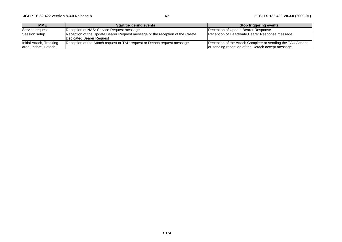| <b>MME</b>                                      | <b>Start triggering events</b>                                                                            | Stop triggering events                                                                                           |
|-------------------------------------------------|-----------------------------------------------------------------------------------------------------------|------------------------------------------------------------------------------------------------------------------|
| <b>Service request</b>                          | Reception of NAS: Service Request message                                                                 | Reception of Update Bearer Response                                                                              |
| Session setup                                   | Reception of the Update Bearer Request message or the reception of the Create<br>Dedicated Bearer Request | Reception of Deactivate Bearer Response message                                                                  |
| Initial Attach, Tracking<br>area update, Detach | Reception of the Attach request or TAU request or Detach request message                                  | Reception of the Attach Complete or sending the TAU Accept<br>or sending reception of the Detach accept message. |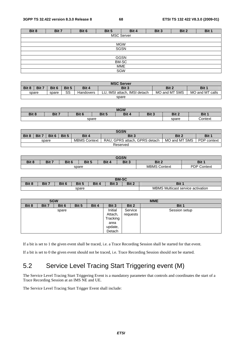| Bit 8 | Bit 7             | Bit 6 | Bit 5      | Bit 4       | Bit 3 | Bit 2 | Bit 1 |  |  |  |
|-------|-------------------|-------|------------|-------------|-------|-------|-------|--|--|--|
|       | <b>MSC Server</b> |       |            |             |       |       |       |  |  |  |
|       |                   |       |            |             |       |       |       |  |  |  |
|       |                   |       | <b>MGW</b> |             |       |       |       |  |  |  |
|       |                   |       |            | <b>SGSN</b> |       |       |       |  |  |  |
|       |                   |       |            |             |       |       |       |  |  |  |
|       |                   |       |            | <b>GGSN</b> |       |       |       |  |  |  |
|       | BM-SC             |       |            |             |       |       |       |  |  |  |
| MME   |                   |       |            |             |       |       |       |  |  |  |
|       | SGW               |       |            |             |       |       |       |  |  |  |
|       |                   |       |            |             |       |       |       |  |  |  |

| <b>MSC Server</b> |                                                             |       |    |           |                                |               |                 |  |  |
|-------------------|-------------------------------------------------------------|-------|----|-----------|--------------------------------|---------------|-----------------|--|--|
| Bit 8             | Bit 7<br>Bit 3<br>Bit 4<br>Bit 1<br>Bit 6<br>Bit 5<br>Bit 2 |       |    |           |                                |               |                 |  |  |
|                   | spare                                                       | spare | SS | Handovers | IMSI attach. IMSI detach<br>LU | MO and MT SMS | MO and MT calls |  |  |
|                   | spare                                                       |       |    |           |                                |               |                 |  |  |

| <b>MGW</b> |                                                                                |  |  |  |  |       |                                     |
|------------|--------------------------------------------------------------------------------|--|--|--|--|-------|-------------------------------------|
| Bit 8      | Bit 7<br>D <sub>14</sub> E<br>Bit 3<br>Bit 1<br>Bit 2<br>Bit 6<br>Bit 4<br>יים |  |  |  |  |       |                                     |
| spare      |                                                                                |  |  |  |  | spare | ∶ontext<br>$\overline{\phantom{a}}$ |

|                                                                             | <b>SGSN</b> |  |  |                     |                                    |               |             |  |  |  |
|-----------------------------------------------------------------------------|-------------|--|--|---------------------|------------------------------------|---------------|-------------|--|--|--|
| Bit 8<br>Bit 7<br>Bit 3<br>Bit 6<br>Bit 5<br>Bit 4<br>Bit 2<br><b>Bit 1</b> |             |  |  |                     |                                    |               |             |  |  |  |
| spare                                                                       |             |  |  | <b>MBMS Context</b> | . GPRS attach. GPRS detach<br>RAU. | MO and MT SMS | PDP context |  |  |  |
|                                                                             | Reserved    |  |  |                     |                                    |               |             |  |  |  |

| <b>GGSN</b>                                                                   |  |  |  |  |  |                     |                                 |  |
|-------------------------------------------------------------------------------|--|--|--|--|--|---------------------|---------------------------------|--|
| Bit 3<br>Bit 8<br>Bit 5<br>Bit 1<br>Bit 6<br>Bit 4<br>Bit 2<br>Dit 7<br>DIL . |  |  |  |  |  |                     |                                 |  |
| spare                                                                         |  |  |  |  |  | <b>MBMS Context</b> | <b>PDP</b><br>$\sim$<br>Context |  |

| <b>BM-SC</b>                                                        |  |  |  |  |  |                                             |  |  |  |
|---------------------------------------------------------------------|--|--|--|--|--|---------------------------------------------|--|--|--|
| Bit 8<br>Bit 2<br>Bit 7<br>Bit 5<br>Bit.<br>Bit 1<br>Bit 3<br>Dii C |  |  |  |  |  |                                             |  |  |  |
| spare                                                               |  |  |  |  |  | Multicast service activation<br><b>MBMS</b> |  |  |  |

| <b>SGW</b> |       |       |       | <b>MME</b> |          |         |               |  |
|------------|-------|-------|-------|------------|----------|---------|---------------|--|
| Bit 8      | Bit 7 | Bit 6 | Bit 5 | Bit 4      | Bit 3    | Bit 2   | Bit 1         |  |
| spare      |       |       |       |            | Initial  | Service | Session setup |  |
|            |       |       |       | Attach,    | requests |         |               |  |
|            |       |       |       |            | Tracking |         |               |  |
|            |       |       |       |            | area     |         |               |  |
|            |       |       |       |            | update,  |         |               |  |
|            |       |       |       |            | Detach   |         |               |  |

If a bit is set to 1 the given event shall be traced, i.e. a Trace Recording Session shall be started for that event.

If a bit is set to 0 the given event should not be traced, i.e. Trace Recording Session should not be started.

# 5.2 Service Level Tracing Start Triggering event (M)

The Service Level Tracing Start Triggering Event is a mandatory parameter that controls and coordinates the start of a Trace Recording Session at an IMS NE and UE.

The Service Level Tracing Start Trigger Event shall include: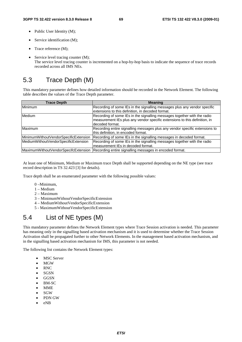- Public User Identity (M);
- Service identification (M);
- Trace reference (M);
- Service level tracing counter (M); The service level tracing counter is incremented on a hop-by-hop basis to indicate the sequence of trace records recorded across all IMS NEs.

# 5.3 Trace Depth (M)

This mandatory parameter defines how detailed information should be recorded in the Network Element. The following table describes the values of the Trace Depth parameter.

| <b>Trace Depth</b>                    | <b>Meaning</b>                                                              |  |  |  |
|---------------------------------------|-----------------------------------------------------------------------------|--|--|--|
| Minimum                               | Recording of some IEs in the signalling messages plus any vendor specific   |  |  |  |
|                                       | extensions to this definition, in decoded format.                           |  |  |  |
| <b>Medium</b>                         | Recording of some IEs in the signalling messages together with the radio    |  |  |  |
|                                       | measurement IEs plus any vendor specific extensions to this definition, in  |  |  |  |
|                                       | decoded format.                                                             |  |  |  |
| Maximum                               | Recording entire signalling messages plus any vendor specific extensions to |  |  |  |
|                                       | this definition, in encoded format.                                         |  |  |  |
| MinimumWithoutVendorSpecificExtension | Recording of some IEs in the signalling messages in decoded format.         |  |  |  |
| MediumWithoutVendorSpecificExtension  | Recording of some IEs in the signalling messages together with the radio    |  |  |  |
|                                       | measurement IEs in decoded format.                                          |  |  |  |
| MaximumWithoutVendorSpecifcExtension  | Recording entire signalling messages in encoded format.                     |  |  |  |

At least one of Minimum, Medium or Maximum trace Depth shall be supported depending on the NE type (see trace record description in TS 32.423 [3] for details).

Trace depth shall be an enumerated parameter with the following possible values:

- 0 –Minimum,
- 1 Medium
- 2 Maximum
- 3 MinimumWithoutVendorSpecificExtension
- 4 MediumWithoutVendorSpecificExtension
- 5 MaximumWithoutVendorSpecificExtension

# 5.4 List of NE types (M)

This mandatory parameter defines the Network Element types where Trace Session activation is needed. This parameter has meaning only in the signalling based activation mechanism and it is used to determine whether the Trace Session Activation shall be propagated further to other Network Elements. In the management based activation mechanism, and in the signalling based activation mechanism for IMS, this parameter is not needed.

The following list contains the Network Element types:

- MSC Server
- MGW
- RNC
- SGSN
- GGSN
- BM-SC
- MME
- SGW
- PDN GW
- eNB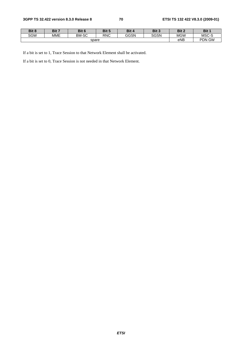| Bit 8 | Bit 7      | Bit 6        | Bit 5             | Bit 4 | Bit 3       | Bit 2      | Bit 1 |
|-------|------------|--------------|-------------------|-------|-------------|------------|-------|
| SGW   | <b>MME</b> | <b>BM-SC</b> | <b>RNC</b>        | GGSN  | <b>SGSN</b> | <b>MGW</b> | MSC-S |
|       |            | eNB          | <b>GW</b><br>PDN. |       |             |            |       |

If a bit is set to 1, Trace Session to that Network Element shall be activated.

If a bit is set to 0, Trace Session is not needed in that Network Element.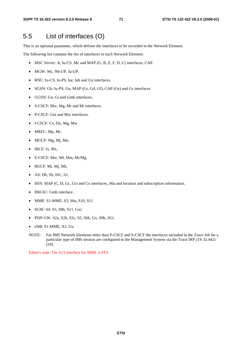# 5.5 List of interfaces (O)

This is an optional parameter, which defines the interfaces to be recorded in the Network Element.

The following list contains the list of interfaces in each Network Element:

- MSC Server: A, Iu-CS, Mc and MAP (G, B, E, F, D, C) interfaces, CAP.
- MGW: Mc, Nb-UP, Iu-UP.
- RNC: Iu-CS, Iu-PS, Iur, Iub and Uu interfaces.
- SGSN: Gb, Iu-PS, Gn, MAP (Gr, Gd, Gf), CAP (Ge) and Gs interfaces.
- GGSN: Gn, Gi and Gmb interfaces.
- S-CSCF: Mw, Mg, Mr and Mi interfaces.
- P-CSCF: Gm and Mw interfaces.
- $\bullet$  I-CSCF: Cx, Dx, Mg, Mw.
- MRFC: Mp, Mr.
- MGCF: Mg, Mj, Mn.
- **IBCF**: Ix, Mx.
- E-CSCF: Mw, Ml, Mm, Mi/Mg.
- BGCF: Mi, Mj, Mk.
- AS: Dh, Sh, ISC, Ut.
- HSS: MAP (C, D, Gc, Gr) and Cx interfaces, S6a and location and subscription information.
- BM-SC: Gmb interface.
- MME: S1-MME, S3, S6a, S10, S11
- SGW: S4, S5, S8b, S11, Gxc
- PDN GW: S2a, S2b, S2c, S5, S6b, Gx, S8b, SGi
- eNB: S1-MME, X2, Uu
- NOTE: For IMS Network Elements other than P-CSCF and S-CSCF the interfaces included in the Trace Job for a particular type of IMS session are configured in the Management System via the Trace IRP (TS 32.442) [24].

Editor's note: The S13 interface for MME is FFS.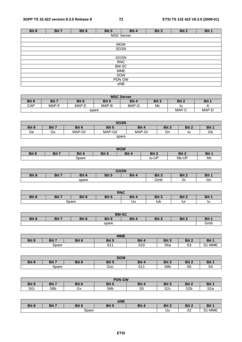| Bit 8      | Bit 7             | Bit 6 | Bit 5 | Bit 4       | Bit 3 | Bit 2 | Bit 1 |  |  |  |  |  |  |
|------------|-------------------|-------|-------|-------------|-------|-------|-------|--|--|--|--|--|--|
|            | <b>MSC Server</b> |       |       |             |       |       |       |  |  |  |  |  |  |
|            |                   |       |       |             |       |       |       |  |  |  |  |  |  |
| <b>MGW</b> |                   |       |       |             |       |       |       |  |  |  |  |  |  |
|            |                   |       |       | SGSN        |       |       |       |  |  |  |  |  |  |
|            |                   |       |       |             |       |       |       |  |  |  |  |  |  |
|            |                   |       |       | <b>GGSN</b> |       |       |       |  |  |  |  |  |  |
|            |                   |       |       | <b>RNC</b>  |       |       |       |  |  |  |  |  |  |
|            |                   |       |       | BM-SC       |       |       |       |  |  |  |  |  |  |
|            |                   |       |       | <b>MME</b>  |       |       |       |  |  |  |  |  |  |
|            | SGW               |       |       |             |       |       |       |  |  |  |  |  |  |
|            | PDN GW            |       |       |             |       |       |       |  |  |  |  |  |  |
|            |                   |       |       | eNB         |       |       |       |  |  |  |  |  |  |

| <b>MSC Server</b> |                                  |       |       |       |  |    |  |  |  |  |  |
|-------------------|----------------------------------|-------|-------|-------|--|----|--|--|--|--|--|
| Bit 8             | Bit 7                            | Bit 3 | Bit 2 | Bit 1 |  |    |  |  |  |  |  |
| CAP               | MAP-F<br>MAP-B<br>MAP-G<br>MAP-E |       |       |       |  | lu |  |  |  |  |  |
|                   |                                  | MAP-C | MAP-D |       |  |    |  |  |  |  |  |

| <b>SGSN</b> |       |        |        |        |       |       |            |  |  |  |
|-------------|-------|--------|--------|--------|-------|-------|------------|--|--|--|
| Bit 8       | Bit 7 | Bit 6  | Bit 5  | Bit 4  | Bit 3 | Bit 2 | <b>Bit</b> |  |  |  |
| Ge          | Gs    | MAP-Gf | MAP-Gd | MAP-Gr | Gn    | ıu    | Gb         |  |  |  |
|             | spare |        |        |        |       |       |            |  |  |  |

| <b>MGW</b>                                                              |  |       |       |            |    |  |  |  |  |  |
|-------------------------------------------------------------------------|--|-------|-------|------------|----|--|--|--|--|--|
| Bit 7<br>Bit 5<br>Bit 8<br>Bit 2<br>Bit<br>Bit 6<br>Bit 3<br><b>Bit</b> |  |       |       |            |    |  |  |  |  |  |
|                                                                         |  | 3pare | lu-UP | Nb-U<br>ТD | Mc |  |  |  |  |  |

| <b>GGSN</b> |       |       |       |                |       |       |       |  |  |  |
|-------------|-------|-------|-------|----------------|-------|-------|-------|--|--|--|
| Bit 8       | Bit 7 | Bit 6 | Bit 5 | Bit 4          | Bit 3 | Bit 2 | Bit 1 |  |  |  |
|             |       | spare | Gmb   | <b>-</b><br>ات | Gn    |       |       |  |  |  |

| <b>RNC</b> |                                                             |       |  |    |     |     |    |  |  |  |
|------------|-------------------------------------------------------------|-------|--|----|-----|-----|----|--|--|--|
| Bit 8      | Bit 3<br>Bit 1<br>Bit 7<br>Bit 6<br>Bit 4<br>Bit 2<br>Bit 5 |       |  |    |     |     |    |  |  |  |
|            |                                                             | Spare |  | Uu | lub | lur | ıu |  |  |  |

| <b>BM-SC</b>                                                |  |  |  |  |  |  |  |  |  |  |
|-------------------------------------------------------------|--|--|--|--|--|--|--|--|--|--|
| Bit 8<br>Bit 7<br>Bit 6<br>Bit 3<br>Bit 4<br>Bit 2<br>Bit 5 |  |  |  |  |  |  |  |  |  |  |
| spare                                                       |  |  |  |  |  |  |  |  |  |  |

| <b>MME</b> |       |       |             |              |                          |              |                               |  |  |  |
|------------|-------|-------|-------------|--------------|--------------------------|--------------|-------------------------------|--|--|--|
| Bit 8      | Bit 7 | Bit 6 | Bit 5       | <b>Bit</b>   | D <sub>14</sub><br>DIL J | Bit 2        | D <sub>14</sub><br>ы          |  |  |  |
|            | Spare |       | ៝៝៝៝<br>ا ب | C10<br>ں ر د | S6a                      | $\sim$<br>ںں | $\cdots$<br><u>ີ</u><br>'-MML |  |  |  |

| <b>SGW</b> |       |       |       |             |       |             |        |  |  |  |
|------------|-------|-------|-------|-------------|-------|-------------|--------|--|--|--|
| Bit 8      | Bit 7 | Bit 6 | Bit 5 | Bit 4       | Bit 3 | Bit 2       | Bit 1  |  |  |  |
|            | Spare |       | Gxc   | 0.4A<br>ا ت | S8b   | $\sim$<br>ື | ◠<br>ີ |  |  |  |

| <b>PDN GW</b>                                                        |     |    |                 |         |            |                  |            |  |  |  |
|----------------------------------------------------------------------|-----|----|-----------------|---------|------------|------------------|------------|--|--|--|
| Bit 4<br>Bit 8<br>Bit 7<br>Bit 5<br>Bit 3<br>Bit 2<br>Bit 6<br>Bit 1 |     |    |                 |         |            |                  |            |  |  |  |
| $\sim$<br>וטכ                                                        | S8b | Gx | S6 <sub>b</sub> | ົ<br>ບປ | S2c<br>ب∠ت | S <sub>2</sub> b | en.<br>o∠a |  |  |  |

| eNB   |       |       |                  |                        |       |               |                        |  |  |  |
|-------|-------|-------|------------------|------------------------|-------|---------------|------------------------|--|--|--|
| Bit 8 | Bit 7 | Bit 6 | Bit 5            | D <sub>it</sub><br>יוס | Bit 3 | Dit 2<br>א וש | D <sub>14</sub><br>ווס |  |  |  |
|       |       | Uu    | $\sqrt{2}$<br>∼∠ | -MME<br>ົ              |       |               |                        |  |  |  |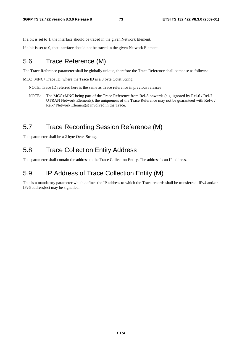If a bit is set to 1, the interface should be traced in the given Network Element.

If a bit is set to 0, that interface should not be traced in the given Network Element.

#### 5.6 Trace Reference (M)

The Trace Reference parameter shall be globally unique, therefore the Trace Reference shall compose as follows:

MCC+MNC+Trace ID, where the Trace ID is a 3 byte Octet String.

NOTE: Trace ID referred here is the same as Trace reference in previous releases

NOTE: The MCC+MNC being part of the Trace Reference from Rel-8 onwards (e.g. ignored by Rel-6 / Rel-7 UTRAN Network Elements), the uniqueness of the Trace Reference may not be guaranteed with Rel-6 / Rel-7 Network Element(s) involved in the Trace.

## 5.7 Trace Recording Session Reference (M)

This parameter shall be a 2 byte Octet String.

#### 5.8 Trace Collection Entity Address

This parameter shall contain the address to the Trace Collection Entity. The address is an IP address.

### 5.9 IP Address of Trace Collection Entity (M)

This is a mandatory parameter which defines the IP address to which the Trace records shall be transferred. IPv4 and/or IPv6 address(es) may be signalled.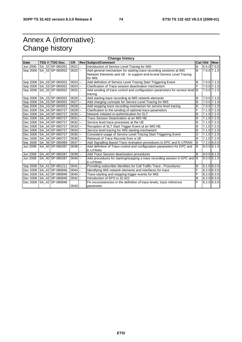# Annex A (informative): Change history

|             | <b>Change history</b> |                              |                       |    |                                                                               |                |           |                 |  |  |  |  |
|-------------|-----------------------|------------------------------|-----------------------|----|-------------------------------------------------------------------------------|----------------|-----------|-----------------|--|--|--|--|
| <b>Date</b> |                       | TSG # TSG Doc.               | <b>CR</b>             |    | <b>Rev Subject/Comment</b>                                                    |                | Cat   Old | <b>New</b>      |  |  |  |  |
| Jun 2006    |                       | SA 32 SP-060261              | 0021                  | L. | Introduction of Service Level Tracing for IMS                                 | B              |           | $6.5.0$ 7.0.0   |  |  |  |  |
| Sep 2006    |                       | SA_33 SP-060552              | $0022$ --             |    | Add general mechanism for starting trace recording sessions at IMS            | B              |           | $7.0.0$ 7.1.0   |  |  |  |  |
|             |                       |                              |                       |    | Network Elements and UE - to support end-to-end Service Level Tracing         |                |           |                 |  |  |  |  |
|             |                       |                              |                       |    | for IMS                                                                       |                |           |                 |  |  |  |  |
| Sep 2006    |                       | SA 33 SP-060552              | $0023$ --             |    | Add definition of Service Level Tracing Start Triggering Event                | B              |           | $7.0.0$ $7.1.0$ |  |  |  |  |
|             |                       | Sep 2006   SA_33 SP-060552   | $0024$ --             |    | Clarification of Trace session deactivation mechanism                         | F              |           | 7.0.0 7.1.0     |  |  |  |  |
| Sep 2006    |                       | SA 33 SP-060552              | $0025$ $-$            |    | Add sending of trace control and configuration parameters for service level B |                |           | 7.0.0 7.1.0     |  |  |  |  |
|             |                       |                              |                       |    | tracing                                                                       |                |           |                 |  |  |  |  |
|             |                       | Sep 2006 SA_33 SP-060552     | $0026$ $-$            |    | Add starting trace recording at IMS network elements                          | B              |           | $7.0.0$ $7.1.0$ |  |  |  |  |
|             |                       | Sep 2006   SA_33   SP-060552 | $0027$ --             |    | Add charging concepts for Service Level Tracing for IMS                       | B              |           | $7.0.0$ $7.1.0$ |  |  |  |  |
|             |                       | Sep 2006   SA 33   SP-060552 | $0028$ --             |    | Add stopping trace recording mechanism for service level tracing              | B              |           | 7.0.0 7.1.0     |  |  |  |  |
|             |                       | Dec 2006   SA 34   SP-060727 | $0029$ $\overline{ }$ |    | Clarification to the sending of optional trace parameters                     | F              |           | $7.1.0$ $7.2.0$ |  |  |  |  |
|             |                       | Dec 2006   SA 34   SP-060727 | $0030$ $-$            |    | Network initiated re-authentication for SLT                                   | B              |           | $7.1.0$ $7.2.0$ |  |  |  |  |
| Dec 2006    |                       | SA 34 SP-060727              | $0031$ --             |    | Trace Session Deactivation at an IMS NE                                       | B              |           | $7.1.0$ $7.2.0$ |  |  |  |  |
| Dec 2006    |                       | SA 34 SP-060727              | $0032$ --             |    | Service level trace processes at the UE                                       | B              |           | 7.1.0 7.2.0     |  |  |  |  |
| Dec 2006    |                       | SA 34 SP-060727              | $0033$ $-$            |    | Reception of SLT Start Trigger Event at an IMS NE                             | B              |           | $7.1.0$ $7.2.0$ |  |  |  |  |
| Dec 2006    |                       | SA 34 SP-060727              | $0034$ $-$            |    | Service level tracing for IMS starting mechanism                              | $\overline{B}$ |           | 7.1.0 7.2.0     |  |  |  |  |
| Dec 2006    |                       | SA_34 SP-060727              | $0035$ --             |    | Consistent usage of Service Level Tracing Start Triggering Event              | D              |           | 7.1.0 7.2.0     |  |  |  |  |
| Dec 2006    |                       | SA 34 SP-060727              | $0036$ --             |    | Retrieval of Trace Records from a UE                                          | B              |           | $7.1.0$ $7.2.0$ |  |  |  |  |
| Mar 2008    |                       | SA 39 SP-080069              | $0037$ --             |    | Add Signalling Based Trace Activation procedures to EPC and E-UTRAN           | ĪВ             |           | 7.2.0 8.0.0     |  |  |  |  |
| Jun 2008    |                       | SA 40 SP-080287              | $0038$ --             |    | Add definition of Trace control and configuration parameters for EPC and      | B              |           | $8.0.0$ 8.1.0   |  |  |  |  |
|             |                       |                              |                       |    | E-UTRAN                                                                       |                |           |                 |  |  |  |  |
| Jun 2008    |                       | SA_40 SP-080287              | $0039$ $-$            |    | Add Trace Session deactivation procedures                                     | B              |           | $8.0.0$ $8.1.0$ |  |  |  |  |
| Jun 2008    |                       | SA_40 SP-080287              | $0040 -$              |    | Add procedures for starting/stopping a trace recording session in EPC and B   |                |           | $8.0.0$ $8.1.0$ |  |  |  |  |
|             |                       |                              |                       |    | <b>E-UTRAN</b>                                                                |                |           |                 |  |  |  |  |
|             |                       | Sep 2008   SA_41   SP-081211 | $0041$ --             |    | Providing subscriber identities for Cell Traffic Trace - Procedures           | B              |           | $8.1.0$ 8.2.0   |  |  |  |  |
| Dec 2008    |                       | SA 42 SP-080846              | 0044                  |    | Identifying IMS network elements and interfaces for trace                     | F              |           | $8.2.0$ $8.3.0$ |  |  |  |  |
| Dec 2008    |                       | SA 42 SP-080846              | $0045 -$              |    | Trace starting and stopping trigger events for IMS                            | F              |           | $8.2.0$ 8.3.0   |  |  |  |  |
| Dec 2008    |                       | SA 42 SP-080846              | 0042                  |    | Introduction of EPS in 32.422                                                 | $\overline{B}$ |           | $8.2.0$ $8.3.0$ |  |  |  |  |
| Dec 2008    |                       | SA 42 SP-080846              |                       |    | Fix inconsistencies in the definition of trace levels, trace reference        | F              |           | $8.2.0$ $8.3.0$ |  |  |  |  |
|             |                       |                              | $0043$ -              |    | parameter                                                                     |                |           |                 |  |  |  |  |